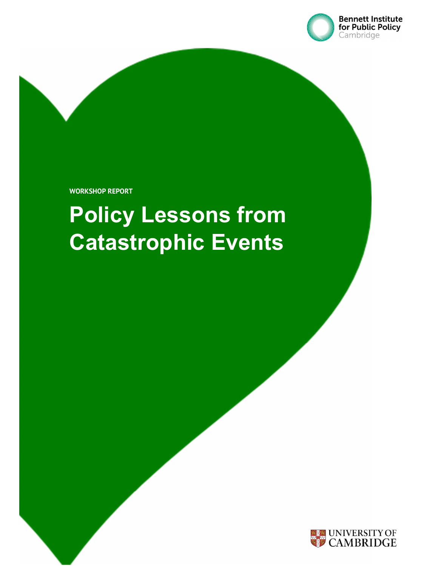

WORKSHOP REPORT

# Policy Lessons from Catastrophic Events

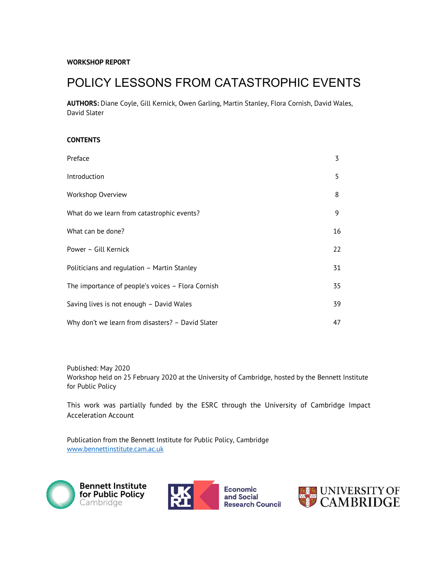# POLICY LESSONS FROM CATASTROPHIC EVENTS

AUTHORS: Diane Coyle, Gill Kernick, Owen Garling, Martin Stanley, Flora Cornish, David Wales, David Slater

#### **CONTENTS**

| Preface                                           | 3  |
|---------------------------------------------------|----|
| Introduction                                      | 5  |
| Workshop Overview                                 | 8  |
| What do we learn from catastrophic events?        | 9  |
| What can be done?                                 | 16 |
| Power - Gill Kernick                              | 22 |
| Politicians and regulation - Martin Stanley       | 31 |
| The importance of people's voices - Flora Cornish | 35 |
| Saving lives is not enough - David Wales          | 39 |
| Why don't we learn from disasters? - David Slater | 47 |

Published: May 2020 Workshop held on 25 February 2020 at the University of Cambridge, hosted by the Bennett Institute for Public Policy

This work was partially funded by the ESRC through the University of Cambridge Impact Acceleration Account

Publication from the Bennett Institute for Public Policy, Cambridge www.bennettinstitute.cam.ac.uk





Economic and Social **Research Council** 

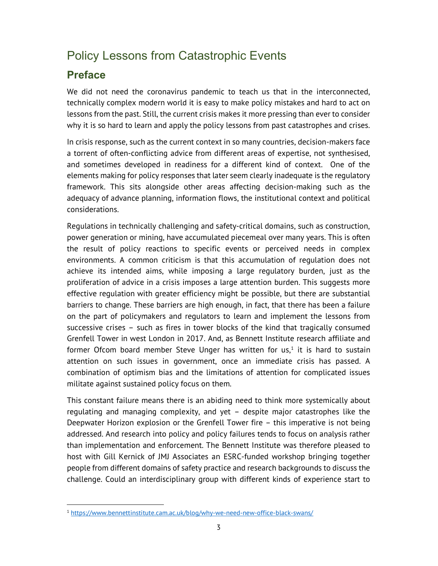# Policy Lessons from Catastrophic Events

# Preface

We did not need the coronavirus pandemic to teach us that in the interconnected, technically complex modern world it is easy to make policy mistakes and hard to act on lessons from the past. Still, the current crisis makes it more pressing than ever to consider why it is so hard to learn and apply the policy lessons from past catastrophes and crises.

In crisis response, such as the current context in so many countries, decision-makers face a torrent of often-conflicting advice from different areas of expertise, not synthesised, and sometimes developed in readiness for a different kind of context. One of the elements making for policy responses that later seem clearly inadequate is the regulatory framework. This sits alongside other areas affecting decision-making such as the adequacy of advance planning, information flows, the institutional context and political considerations.

Regulations in technically challenging and safety-critical domains, such as construction, power generation or mining, have accumulated piecemeal over many years. This is often the result of policy reactions to specific events or perceived needs in complex environments. A common criticism is that this accumulation of regulation does not achieve its intended aims, while imposing a large regulatory burden, just as the proliferation of advice in a crisis imposes a large attention burden. This suggests more effective regulation with greater efficiency might be possible, but there are substantial barriers to change. These barriers are high enough, in fact, that there has been a failure on the part of policymakers and regulators to learn and implement the lessons from successive crises – such as fires in tower blocks of the kind that tragically consumed Grenfell Tower in west London in 2017. And, as Bennett Institute research affiliate and former Ofcom board member Steve Unger has written for us, $<sup>1</sup>$  it is hard to sustain</sup> attention on such issues in government, once an immediate crisis has passed. A combination of optimism bias and the limitations of attention for complicated issues militate against sustained policy focus on them.

This constant failure means there is an abiding need to think more systemically about regulating and managing complexity, and yet – despite major catastrophes like the Deepwater Horizon explosion or the Grenfell Tower fire – this imperative is not being addressed. And research into policy and policy failures tends to focus on analysis rather than implementation and enforcement. The Bennett Institute was therefore pleased to host with Gill Kernick of JMJ Associates an ESRC-funded workshop bringing together people from different domains of safety practice and research backgrounds to discuss the challenge. Could an interdisciplinary group with different kinds of experience start to

<sup>&</sup>lt;sup>1</sup> https://www.bennettinstitute.cam.ac.uk/blog/why-we-need-new-office-black-swans/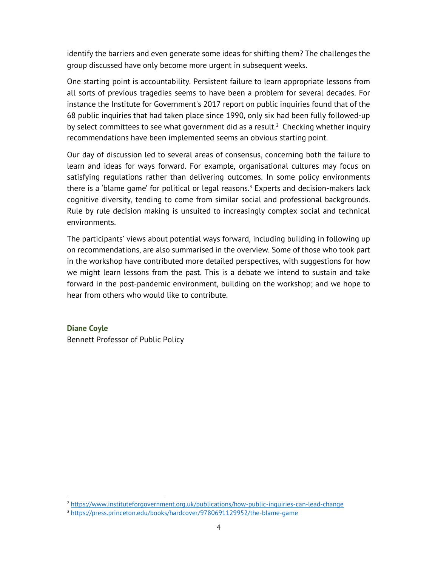identify the barriers and even generate some ideas for shifting them? The challenges the group discussed have only become more urgent in subsequent weeks.

One starting point is accountability. Persistent failure to learn appropriate lessons from all sorts of previous tragedies seems to have been a problem for several decades. For instance the Institute for Government's 2017 report on public inquiries found that of the 68 public inquiries that had taken place since 1990, only six had been fully followed-up by select committees to see what government did as a result.<sup>2</sup> Checking whether inquiry recommendations have been implemented seems an obvious starting point.

Our day of discussion led to several areas of consensus, concerning both the failure to learn and ideas for ways forward. For example, organisational cultures may focus on satisfying regulations rather than delivering outcomes. In some policy environments there is a 'blame game' for political or legal reasons.<sup>3</sup> Experts and decision-makers lack cognitive diversity, tending to come from similar social and professional backgrounds. Rule by rule decision making is unsuited to increasingly complex social and technical environments.

The participants' views about potential ways forward, including building in following up on recommendations, are also summarised in the overview. Some of those who took part in the workshop have contributed more detailed perspectives, with suggestions for how we might learn lessons from the past. This is a debate we intend to sustain and take forward in the post-pandemic environment, building on the workshop; and we hope to hear from others who would like to contribute.

# Diane Coyle

Bennett Professor of Public Policy

<sup>&</sup>lt;sup>2</sup> https://www.instituteforgovernment.org.uk/publications/how-public-inquiries-can-lead-change

<sup>3</sup> https://press.princeton.edu/books/hardcover/9780691129952/the-blame-game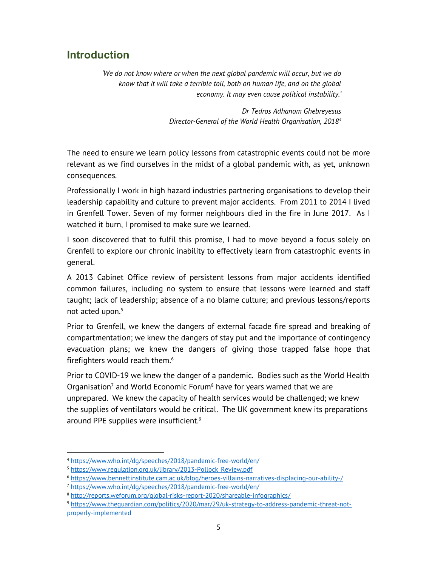# Introduction

'We do not know where or when the next global pandemic will occur, but we do know that it will take a terrible toll, both on human life, and on the global economy. It may even cause political instability.'

> Dr Tedros Adhanom Ghebreyesus Director-General of the World Health Organisation, 2018<sup>4</sup>

The need to ensure we learn policy lessons from catastrophic events could not be more relevant as we find ourselves in the midst of a global pandemic with, as yet, unknown consequences.

Professionally I work in high hazard industries partnering organisations to develop their leadership capability and culture to prevent major accidents. From 2011 to 2014 I lived in Grenfell Tower. Seven of my former neighbours died in the fire in June 2017. As I watched it burn, I promised to make sure we learned.

I soon discovered that to fulfil this promise, I had to move beyond a focus solely on Grenfell to explore our chronic inability to effectively learn from catastrophic events in general.

A 2013 Cabinet Office review of persistent lessons from major accidents identified common failures, including no system to ensure that lessons were learned and staff taught; lack of leadership; absence of a no blame culture; and previous lessons/reports not acted upon. $5$ 

Prior to Grenfell, we knew the dangers of external facade fire spread and breaking of compartmentation; we knew the dangers of stay put and the importance of contingency evacuation plans; we knew the dangers of giving those trapped false hope that firefighters would reach them. $^6$ 

Prior to COVID-19 we knew the danger of a pandemic. Bodies such as the World Health Organisation<sup>7</sup> and World Economic Forum<sup>8</sup> have for years warned that we are unprepared. We knew the capacity of health services would be challenged; we knew the supplies of ventilators would be critical. The UK government knew its preparations around PPE supplies were insufficient.<sup>9</sup>

<sup>4</sup> https://www.who.int/dg/speeches/2018/pandemic-free-world/en/

<sup>5</sup> https://www.regulation.org.uk/library/2013-Pollock\_Review.pdf

<sup>6</sup> https://www.bennettinstitute.cam.ac.uk/blog/heroes-villains-narratives-displacing-our-ability-/

<sup>7</sup> https://www.who.int/dg/speeches/2018/pandemic-free-world/en/

<sup>8</sup> http://reports.weforum.org/global-risks-report-2020/shareable-infographics/

<sup>9</sup> https://www.theguardian.com/politics/2020/mar/29/uk-strategy-to-address-pandemic-threat-notproperly-implemented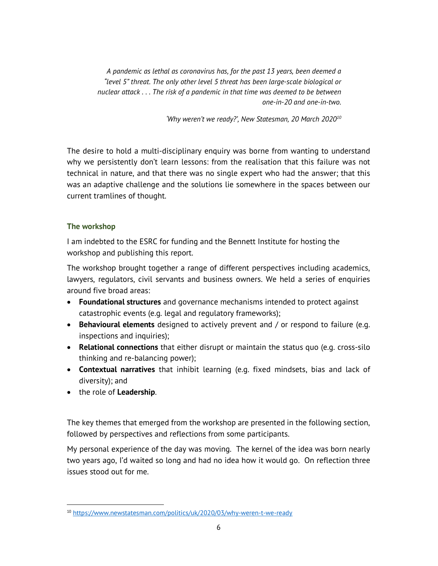A pandemic as lethal as coronavirus has, for the past 13 years, been deemed a "level 5" threat. The only other level 5 threat has been large-scale biological or nuclear attack . . . The risk of a pandemic in that time was deemed to be between one-in-20 and one-in-two.

'Why weren't we ready?', New Statesman, 20 March 2020<sup>10</sup>

The desire to hold a multi-disciplinary enquiry was borne from wanting to understand why we persistently don't learn lessons: from the realisation that this failure was not technical in nature, and that there was no single expert who had the answer; that this was an adaptive challenge and the solutions lie somewhere in the spaces between our current tramlines of thought.

#### The workshop

I am indebted to the ESRC for funding and the Bennett Institute for hosting the workshop and publishing this report.

The workshop brought together a range of different perspectives including academics, lawyers, regulators, civil servants and business owners. We held a series of enquiries around five broad areas:

- Foundational structures and governance mechanisms intended to protect against catastrophic events (e.g. legal and regulatory frameworks);
- Behavioural elements designed to actively prevent and / or respond to failure (e.g. inspections and inquiries);
- Relational connections that either disrupt or maintain the status quo (e.g. cross-silo thinking and re-balancing power);
- Contextual narratives that inhibit learning (e.g. fixed mindsets, bias and lack of diversity); and
- the role of Leadership.

The key themes that emerged from the workshop are presented in the following section, followed by perspectives and reflections from some participants.

My personal experience of the day was moving. The kernel of the idea was born nearly two years ago, I'd waited so long and had no idea how it would go. On reflection three issues stood out for me.

<sup>10</sup> https://www.newstatesman.com/politics/uk/2020/03/why-weren-t-we-ready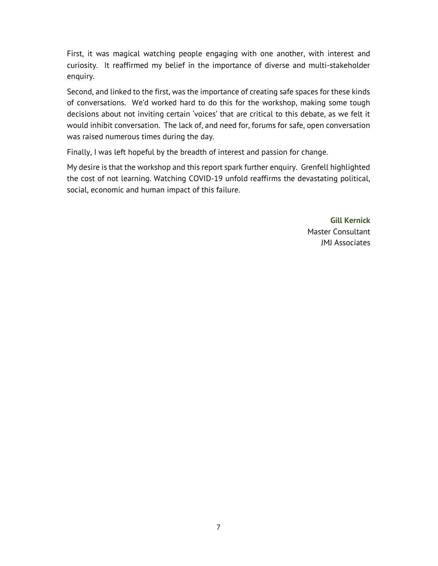First, it was magical watching people engaging with one another, with interest and curiosity. It reaffirmed my belief in the importance of diverse and multi-stakeholder enquiry.

Second, and linked to the first, was the importance of creating safe spaces for these kinds of conversations. We'd worked hard to do this for the workshop, making some tough decisions about not inviting certain 'voices' that are critical to this debate, as we felt it would inhibit conversation. The lack of, and need for, forums for safe, open conversation was raised numerous times during the day.

Finally, I was left hopeful by the breadth of interest and passion for change.

My desire is that the workshop and this report spark further enquiry. Grenfell highlighted the cost of not learning. Watching COVID-19 unfold reaffirms the devastating political, social, economic and human impact of this failure.

> Gill Kernick Master Consultant JMJ Associates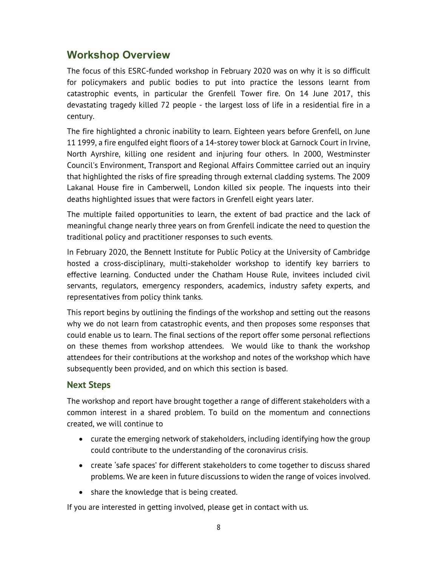# Workshop Overview

The focus of this ESRC-funded workshop in February 2020 was on why it is so difficult for policymakers and public bodies to put into practice the lessons learnt from catastrophic events, in particular the Grenfell Tower fire. On 14 June 2017, this devastating tragedy killed 72 people - the largest loss of life in a residential fire in a century.

The fire highlighted a chronic inability to learn. Eighteen years before Grenfell, on June 11 1999, a fire engulfed eight floors of a 14-storey tower block at Garnock Court in Irvine, North Ayrshire, killing one resident and injuring four others. In 2000, Westminster Council's Environment, Transport and Regional Affairs Committee carried out an inquiry that highlighted the risks of fire spreading through external cladding systems. The 2009 Lakanal House fire in Camberwell, London killed six people. The inquests into their deaths highlighted issues that were factors in Grenfell eight years later.

The multiple failed opportunities to learn, the extent of bad practice and the lack of meaningful change nearly three years on from Grenfell indicate the need to question the traditional policy and practitioner responses to such events.

In February 2020, the Bennett Institute for Public Policy at the University of Cambridge hosted a cross-disciplinary, multi-stakeholder workshop to identify key barriers to effective learning. Conducted under the Chatham House Rule, invitees included civil servants, regulators, emergency responders, academics, industry safety experts, and representatives from policy think tanks.

This report begins by outlining the findings of the workshop and setting out the reasons why we do not learn from catastrophic events, and then proposes some responses that could enable us to learn. The final sections of the report offer some personal reflections on these themes from workshop attendees. We would like to thank the workshop attendees for their contributions at the workshop and notes of the workshop which have subsequently been provided, and on which this section is based.

## Next Steps

The workshop and report have brought together a range of different stakeholders with a common interest in a shared problem. To build on the momentum and connections created, we will continue to

- curate the emerging network of stakeholders, including identifying how the group could contribute to the understanding of the coronavirus crisis.
- create 'safe spaces' for different stakeholders to come together to discuss shared problems. We are keen in future discussions to widen the range of voices involved.
- share the knowledge that is being created.

If you are interested in getting involved, please get in contact with us.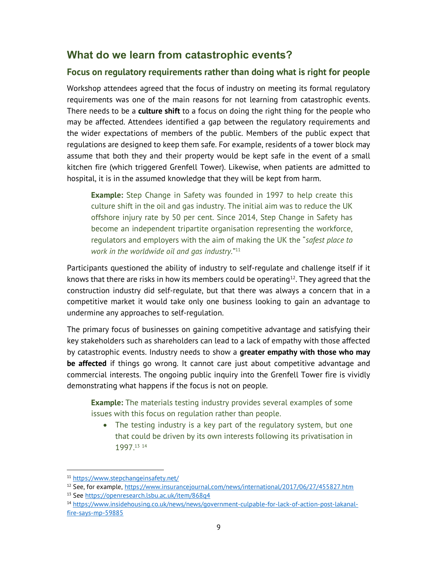# What do we learn from catastrophic events?

# Focus on regulatory requirements rather than doing what is right for people

Workshop attendees agreed that the focus of industry on meeting its formal regulatory requirements was one of the main reasons for not learning from catastrophic events. There needs to be a **culture shift** to a focus on doing the right thing for the people who may be affected. Attendees identified a gap between the regulatory requirements and the wider expectations of members of the public. Members of the public expect that regulations are designed to keep them safe. For example, residents of a tower block may assume that both they and their property would be kept safe in the event of a small kitchen fire (which triggered Grenfell Tower). Likewise, when patients are admitted to hospital, it is in the assumed knowledge that they will be kept from harm.

**Example:** Step Change in Safety was founded in 1997 to help create this culture shift in the oil and gas industry. The initial aim was to reduce the UK offshore injury rate by 50 per cent. Since 2014, Step Change in Safety has become an independent tripartite organisation representing the workforce, regulators and employers with the aim of making the UK the "safest place to work in the worldwide oil and gas industry." $11$ 

Participants questioned the ability of industry to self-regulate and challenge itself if it knows that there are risks in how its members could be operating<sup>12</sup>. They agreed that the construction industry did self-regulate, but that there was always a concern that in a competitive market it would take only one business looking to gain an advantage to undermine any approaches to self-regulation.

The primary focus of businesses on gaining competitive advantage and satisfying their key stakeholders such as shareholders can lead to a lack of empathy with those affected by catastrophic events. Industry needs to show a greater empathy with those who may be affected if things go wrong. It cannot care just about competitive advantage and commercial interests. The ongoing public inquiry into the Grenfell Tower fire is vividly demonstrating what happens if the focus is not on people.

**Example:** The materials testing industry provides several examples of some issues with this focus on regulation rather than people.

• The testing industry is a key part of the regulatory system, but one that could be driven by its own interests following its privatisation in 1997.<sup>13</sup> <sup>14</sup>

- <sup>13</sup> See https://openresearch.lsbu.ac.uk/item/868q4
- <sup>14</sup> https://www.insidehousing.co.uk/news/news/government-culpable-for-lack-of-action-post-lakanalfire-says-mp-59885

<sup>11</sup> https://www.stepchangeinsafety.net/

<sup>12</sup> See, for example, https://www.insurancejournal.com/news/international/2017/06/27/455827.htm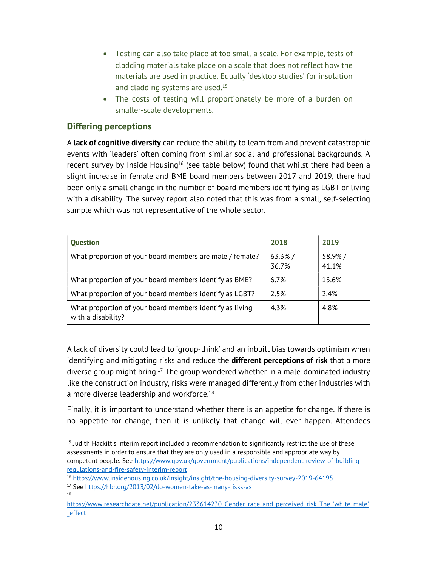- Testing can also take place at too small a scale. For example, tests of cladding materials take place on a scale that does not reflect how the materials are used in practice. Equally 'desktop studies' for insulation and cladding systems are used. $^{15}$
- The costs of testing will proportionately be more of a burden on smaller-scale developments.

# Differing perceptions

A lack of cognitive diversity can reduce the ability to learn from and prevent catastrophic events with 'leaders' often coming from similar social and professional backgrounds. A recent survey by Inside Housing<sup>16</sup> (see table below) found that whilst there had been a slight increase in female and BME board members between 2017 and 2019, there had been only a small change in the number of board members identifying as LGBT or living with a disability. The survey report also noted that this was from a small, self-selecting sample which was not representative of the whole sector.

| <b>Question</b>                                                                | 2018            | 2019            |
|--------------------------------------------------------------------------------|-----------------|-----------------|
| What proportion of your board members are male / female?                       | 63.3%/<br>36.7% | 58.9%/<br>41.1% |
| What proportion of your board members identify as BME?                         | 6.7%            | 13.6%           |
| What proportion of your board members identify as LGBT?                        | 2.5%            | 2.4%            |
| What proportion of your board members identify as living<br>with a disability? | 4.3%            | 4.8%            |

A lack of diversity could lead to 'group-think' and an inbuilt bias towards optimism when identifying and mitigating risks and reduce the **different perceptions of risk** that a more diverse group might bring.<sup>17</sup> The group wondered whether in a male-dominated industry like the construction industry, risks were managed differently from other industries with a more diverse leadership and workforce.<sup>18</sup>

Finally, it is important to understand whether there is an appetite for change. If there is no appetite for change, then it is unlikely that change will ever happen. Attendees

18

<sup>&</sup>lt;sup>15</sup> Judith Hackitt's interim report included a recommendation to significantly restrict the use of these assessments in order to ensure that they are only used in a responsible and appropriate way by competent people. See https://www.gov.uk/government/publications/independent-review-of-buildingregulations-and-fire-safety-interim-report

<sup>16</sup> https://www.insidehousing.co.uk/insight/insight/the-housing-diversity-survey-2019-64195

<sup>&</sup>lt;sup>17</sup> See https://hbr.org/2013/02/do-women-take-as-many-risks-as

https://www.researchgate.net/publication/233614230 Gender race and perceived risk The 'white male' \_effect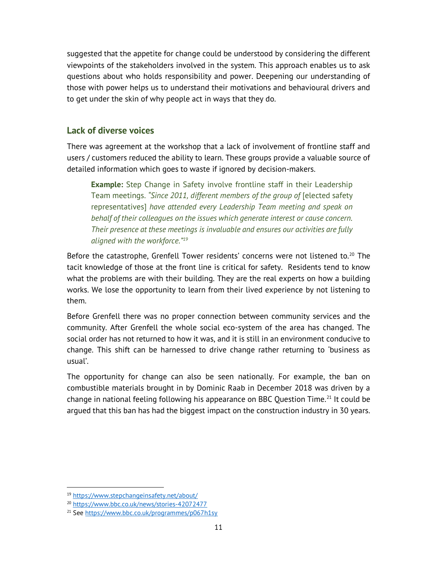suggested that the appetite for change could be understood by considering the different viewpoints of the stakeholders involved in the system. This approach enables us to ask questions about who holds responsibility and power. Deepening our understanding of those with power helps us to understand their motivations and behavioural drivers and to get under the skin of why people act in ways that they do.

# Lack of diverse voices

There was agreement at the workshop that a lack of involvement of frontline staff and users / customers reduced the ability to learn. These groups provide a valuable source of detailed information which goes to waste if ignored by decision-makers.

**Example:** Step Change in Safety involve frontline staff in their Leadership Team meetings. "Since 2011, different members of the group of [elected safety representatives] have attended every Leadership Team meeting and speak on behalf of their colleagues on the issues which generate interest or cause concern. Their presence at these meetings is invaluable and ensures our activities are fully aligned with the workforce."<sup>19</sup>

Before the catastrophe, Grenfell Tower residents' concerns were not listened to.<sup>20</sup> The tacit knowledge of those at the front line is critical for safety. Residents tend to know what the problems are with their building. They are the real experts on how a building works. We lose the opportunity to learn from their lived experience by not listening to them.

Before Grenfell there was no proper connection between community services and the community. After Grenfell the whole social eco-system of the area has changed. The social order has not returned to how it was, and it is still in an environment conducive to change. This shift can be harnessed to drive change rather returning to 'business as usual'.

The opportunity for change can also be seen nationally. For example, the ban on combustible materials brought in by Dominic Raab in December 2018 was driven by a change in national feeling following his appearance on BBC Question Time.<sup>21</sup> It could be argued that this ban has had the biggest impact on the construction industry in 30 years.

<sup>19</sup> https://www.stepchangeinsafety.net/about/

<sup>20</sup> https://www.bbc.co.uk/news/stories-42072477

<sup>21</sup> See https://www.bbc.co.uk/programmes/p067h1sy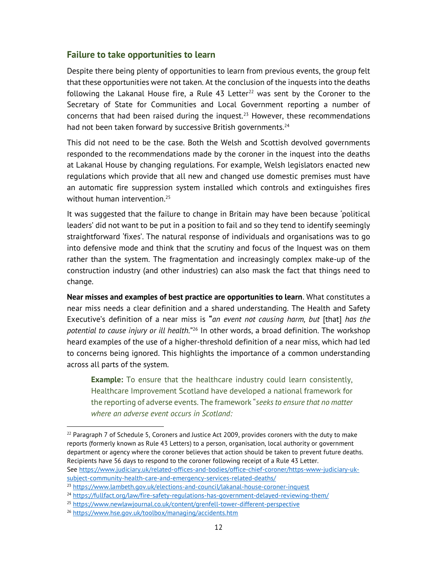## Failure to take opportunities to learn

Despite there being plenty of opportunities to learn from previous events, the group felt that these opportunities were not taken. At the conclusion of the inquests into the deaths following the Lakanal House fire, a Rule  $43$  Letter<sup>22</sup> was sent by the Coroner to the Secretary of State for Communities and Local Government reporting a number of concerns that had been raised during the inquest.<sup>23</sup> However, these recommendations had not been taken forward by successive British governments. $24$ 

This did not need to be the case. Both the Welsh and Scottish devolved governments responded to the recommendations made by the coroner in the inquest into the deaths at Lakanal House by changing regulations. For example, Welsh legislators enacted new regulations which provide that all new and changed use domestic premises must have an automatic fire suppression system installed which controls and extinguishes fires without human intervention.<sup>25</sup>

It was suggested that the failure to change in Britain may have been because 'political leaders' did not want to be put in a position to fail and so they tend to identify seemingly straightforward 'fixes'. The natural response of individuals and organisations was to go into defensive mode and think that the scrutiny and focus of the Inquest was on them rather than the system. The fragmentation and increasingly complex make-up of the construction industry (and other industries) can also mask the fact that things need to change.

Near misses and examples of best practice are opportunities to learn. What constitutes a near miss needs a clear definition and a shared understanding. The Health and Safety Executive's definition of a near miss is "an event not causing harm, but [that] has the potential to cause injury or ill health."<sup>26</sup> In other words, a broad definition. The workshop heard examples of the use of a higher-threshold definition of a near miss, which had led to concerns being ignored. This highlights the importance of a common understanding across all parts of the system.

**Example:** To ensure that the healthcare industry could learn consistently, Healthcare Improvement Scotland have developed a national framework for the reporting of adverse events. The framework "seeks to ensure that no matter where an adverse event occurs in Scotland:

 $^{22}$  Paragraph 7 of Schedule 5, Coroners and Justice Act 2009, provides coroners with the duty to make reports (formerly known as Rule 43 Letters) to a person, organisation, local authority or government department or agency where the coroner believes that action should be taken to prevent future deaths. Recipients have 56 days to respond to the coroner following receipt of a Rule 43 Letter. See https://www.judiciary.uk/related-offices-and-bodies/office-chief-coroner/https-www-judiciary-uksubject-community-health-care-and-emergency-services-related-deaths/

<sup>&</sup>lt;sup>23</sup> https://www.lambeth.gov.uk/elections-and-council/lakanal-house-coroner-inquest

<sup>24</sup> https://fullfact.org/law/fire-safety-regulations-has-government-delayed-reviewing-them/

<sup>25</sup> https://www.newlawjournal.co.uk/content/grenfell-tower-different-perspective

<sup>26</sup> https://www.hse.gov.uk/toolbox/managing/accidents.htm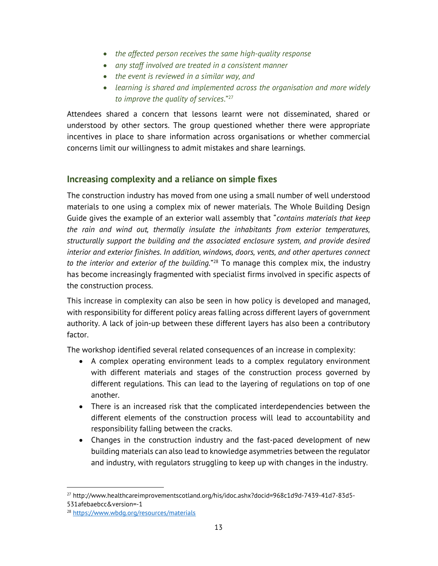- the affected person receives the same high-quality response
- any staff involved are treated in a consistent manner
- the event is reviewed in a similar way, and
- learning is shared and implemented across the organisation and more widely to improve the quality of services." $27$

Attendees shared a concern that lessons learnt were not disseminated, shared or understood by other sectors. The group questioned whether there were appropriate incentives in place to share information across organisations or whether commercial concerns limit our willingness to admit mistakes and share learnings.

# Increasing complexity and a reliance on simple fixes

The construction industry has moved from one using a small number of well understood materials to one using a complex mix of newer materials. The Whole Building Design Guide gives the example of an exterior wall assembly that "contains materials that keep the rain and wind out, thermally insulate the inhabitants from exterior temperatures, structurally support the building and the associated enclosure system, and provide desired interior and exterior finishes. In addition, windows, doors, vents, and other apertures connect to the interior and exterior of the building."<sup>28</sup> To manage this complex mix, the industry has become increasingly fragmented with specialist firms involved in specific aspects of the construction process.

This increase in complexity can also be seen in how policy is developed and managed, with responsibility for different policy areas falling across different layers of government authority. A lack of join-up between these different layers has also been a contributory factor.

The workshop identified several related consequences of an increase in complexity:

- A complex operating environment leads to a complex regulatory environment with different materials and stages of the construction process governed by different regulations. This can lead to the layering of regulations on top of one another.
- There is an increased risk that the complicated interdependencies between the different elements of the construction process will lead to accountability and responsibility falling between the cracks.
- Changes in the construction industry and the fast-paced development of new building materials can also lead to knowledge asymmetries between the regulator and industry, with regulators struggling to keep up with changes in the industry.

<sup>27</sup> http://www.healthcareimprovementscotland.org/his/idoc.ashx?docid=968c1d9d-7439-41d7-83d5-

<sup>531</sup>afebaebcc&version=-1

<sup>28</sup> https://www.wbdg.org/resources/materials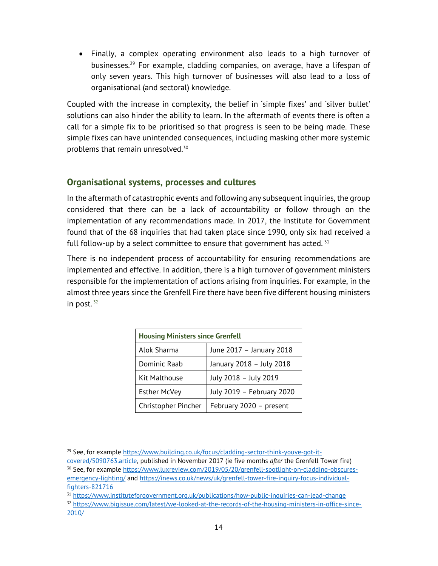Finally, a complex operating environment also leads to a high turnover of businesses.<sup>29</sup> For example, cladding companies, on average, have a lifespan of only seven years. This high turnover of businesses will also lead to a loss of organisational (and sectoral) knowledge.

Coupled with the increase in complexity, the belief in 'simple fixes' and 'silver bullet' solutions can also hinder the ability to learn. In the aftermath of events there is often a call for a simple fix to be prioritised so that progress is seen to be being made. These simple fixes can have unintended consequences, including masking other more systemic problems that remain unresolved.<sup>30</sup>

## Organisational systems, processes and cultures

In the aftermath of catastrophic events and following any subsequent inquiries, the group considered that there can be a lack of accountability or follow through on the implementation of any recommendations made. In 2017, the Institute for Government found that of the 68 inquiries that had taken place since 1990, only six had received a full follow-up by a select committee to ensure that government has acted.  $31$ 

There is no independent process of accountability for ensuring recommendations are implemented and effective. In addition, there is a high turnover of government ministers responsible for the implementation of actions arising from inquiries. For example, in the almost three years since the Grenfell Fire there have been five different housing ministers in post.  $32$ 

| <b>Housing Ministers since Grenfell</b> |                           |  |
|-----------------------------------------|---------------------------|--|
| Alok Sharma                             | June 2017 - January 2018  |  |
| Dominic Raab                            | January 2018 - July 2018  |  |
| <b>Kit Malthouse</b>                    | July 2018 - July 2019     |  |
| <b>Esther McVey</b>                     | July 2019 - February 2020 |  |
| Christopher Pincher                     | February 2020 - present   |  |

<sup>&</sup>lt;sup>29</sup> See, for example https://www.building.co.uk/focus/cladding-sector-think-youve-got-it-

covered/5090763.article, published in November 2017 (ie five months after the Grenfell Tower fire) <sup>30</sup> See, for example https://www.luxreview.com/2019/05/20/grenfell-spotlight-on-cladding-obscuresemergency-lighting/ and https://inews.co.uk/news/uk/grenfell-tower-fire-inquiry-focus-individualfighters-821716

<sup>&</sup>lt;sup>31</sup> https://www.instituteforgovernment.org.uk/publications/how-public-inquiries-can-lead-change <sup>32</sup> https://www.bigissue.com/latest/we-looked-at-the-records-of-the-housing-ministers-in-office-since-2010/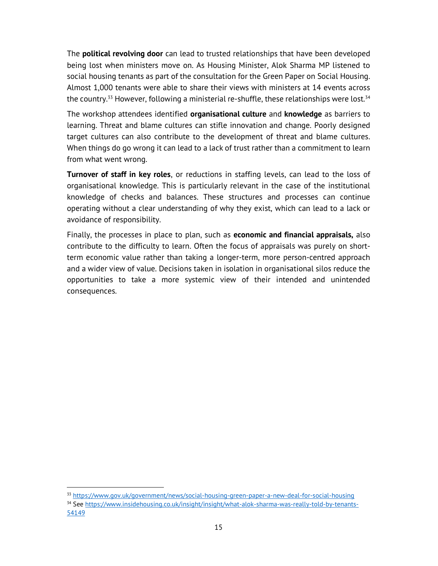The **political revolving door** can lead to trusted relationships that have been developed being lost when ministers move on. As Housing Minister, Alok Sharma MP listened to social housing tenants as part of the consultation for the Green Paper on Social Housing. Almost 1,000 tenants were able to share their views with ministers at 14 events across the country.<sup>33</sup> However, following a ministerial re-shuffle, these relationships were lost.<sup>34</sup>

The workshop attendees identified organisational culture and knowledge as barriers to learning. Threat and blame cultures can stifle innovation and change. Poorly designed target cultures can also contribute to the development of threat and blame cultures. When things do go wrong it can lead to a lack of trust rather than a commitment to learn from what went wrong.

**Turnover of staff in key roles**, or reductions in staffing levels, can lead to the loss of organisational knowledge. This is particularly relevant in the case of the institutional knowledge of checks and balances. These structures and processes can continue operating without a clear understanding of why they exist, which can lead to a lack or avoidance of responsibility.

Finally, the processes in place to plan, such as **economic and financial appraisals,** also contribute to the difficulty to learn. Often the focus of appraisals was purely on shortterm economic value rather than taking a longer-term, more person-centred approach and a wider view of value. Decisions taken in isolation in organisational silos reduce the opportunities to take a more systemic view of their intended and unintended consequences.

<sup>33</sup> https://www.gov.uk/government/news/social-housing-green-paper-a-new-deal-for-social-housing

<sup>34</sup> See https://www.insidehousing.co.uk/insight/insight/what-alok-sharma-was-really-told-by-tenants-54149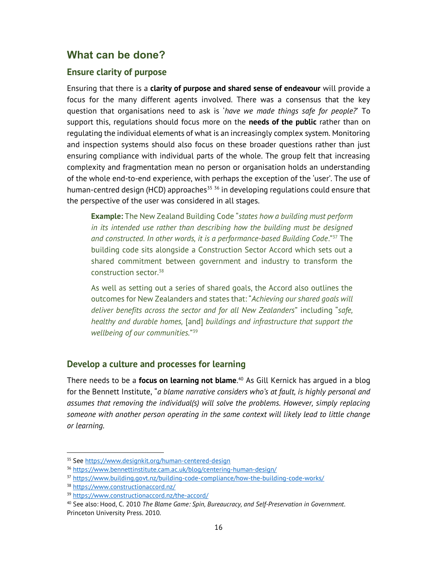# What can be done?

#### Ensure clarity of purpose

Ensuring that there is a clarity of purpose and shared sense of endeavour will provide a focus for the many different agents involved. There was a consensus that the key question that organisations need to ask is 'have we made things safe for people?' To support this, regulations should focus more on the needs of the public rather than on regulating the individual elements of what is an increasingly complex system. Monitoring and inspection systems should also focus on these broader questions rather than just ensuring compliance with individual parts of the whole. The group felt that increasing complexity and fragmentation mean no person or organisation holds an understanding of the whole end-to-end experience, with perhaps the exception of the 'user'. The use of human-centred design (HCD) approaches<sup>35</sup>  $36$  in developing regulations could ensure that the perspective of the user was considered in all stages.

**Example:** The New Zealand Building Code "states how a building must perform in its intended use rather than describing how the building must be designed and constructed. In other words, it is a performance-based Building Code."<sup>37</sup> The building code sits alongside a Construction Sector Accord which sets out a shared commitment between government and industry to transform the construction sector.<sup>38</sup>

As well as setting out a series of shared goals, the Accord also outlines the outcomes for New Zealanders and states that: "Achieving our shared goals will deliver benefits across the sector and for all New Zealanders" including "safe, healthy and durable homes, [and] buildings and infrastructure that support the wellbeing of our communities." 39

## Develop a culture and processes for learning

There needs to be a **focus on learning not blame**.<sup>40</sup> As Gill Kernick has argued in a blog for the Bennett Institute, "a blame narrative considers who's at fault, is highly personal and assumes that removing the individual(s) will solve the problems. However, simply replacing someone with another person operating in the same context will likely lead to little change or learning.

<sup>35</sup> See https://www.designkit.org/human-centered-design

<sup>36</sup> https://www.bennettinstitute.cam.ac.uk/blog/centering-human-design/

<sup>37</sup> https://www.building.govt.nz/building-code-compliance/how-the-building-code-works/

<sup>38</sup> https://www.constructionaccord.nz/

<sup>39</sup> https://www.constructionaccord.nz/the-accord/

<sup>&</sup>lt;sup>40</sup> See also: Hood, C. 2010 The Blame Game: Spin, Bureaucracy, and Self-Preservation in Government. Princeton University Press. 2010.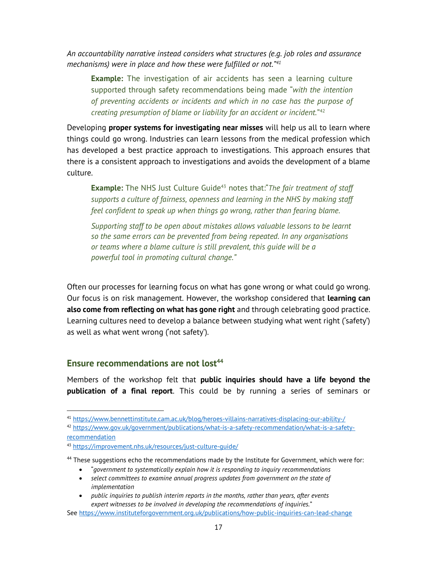An accountability narrative instead considers what structures (e.g. job roles and assurance mechanisms) were in place and how these were fulfilled or not."<sup>41</sup>

**Example:** The investigation of air accidents has seen a learning culture supported through safety recommendations being made "with the intention of preventing accidents or incidents and which in no case has the purpose of creating presumption of blame or liability for an accident or incident." $42$ 

Developing **proper systems for investigating near misses** will help us all to learn where things could go wrong. Industries can learn lessons from the medical profession which has developed a best practice approach to investigations. This approach ensures that there is a consistent approach to investigations and avoids the development of a blame culture.

**Example:** The NHS Just Culture Guide<sup>43</sup> notes that: The fair treatment of staff supports a culture of fairness, openness and learning in the NHS by making staff feel confident to speak up when things go wrong, rather than fearing blame.

Supporting staff to be open about mistakes allows valuable lessons to be learnt so the same errors can be prevented from being repeated. In any organisations or teams where a blame culture is still prevalent, this guide will be a powerful tool in promoting cultural change."

Often our processes for learning focus on what has gone wrong or what could go wrong. Our focus is on risk management. However, the workshop considered that learning can also come from reflecting on what has gone right and through celebrating good practice. Learning cultures need to develop a balance between studying what went right ('safety') as well as what went wrong ('not safety').

# Ensure recommendations are not lost<sup>44</sup>

Members of the workshop felt that public inquiries should have a life beyond the publication of a final report. This could be by running a series of seminars or

<sup>41</sup> https://www.bennettinstitute.cam.ac.uk/blog/heroes-villains-narratives-displacing-our-ability-/

<sup>42</sup> https://www.gov.uk/government/publications/what-is-a-safety-recommendation/what-is-a-safetyrecommendation

<sup>43</sup> https://improvement.nhs.uk/resources/just-culture-guide/

<sup>&</sup>lt;sup>44</sup> These suggestions echo the recommendations made by the Institute for Government, which were for:

"government to systematically explain how it is responding to inquiry recommendations

<sup>•</sup> select committees to examine annual progress updates from government on the state of implementation

public inquiries to publish interim reports in the months, rather than years, after events expert witnesses to be involved in developing the recommendations of inquiries."

See https://www.instituteforgovernment.org.uk/publications/how-public-inquiries-can-lead-change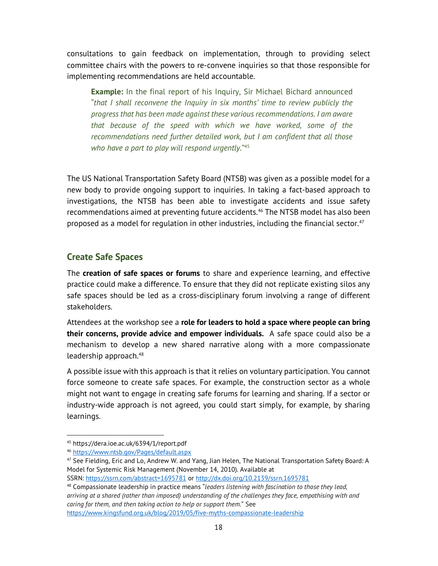consultations to gain feedback on implementation, through to providing select committee chairs with the powers to re-convene inquiries so that those responsible for implementing recommendations are held accountable.

**Example:** In the final report of his Inquiry, Sir Michael Bichard announced "that I shall reconvene the Inquiry in six months' time to review publicly the progress that has been made against these various recommendations. I am aware that because of the speed with which we have worked, some of the recommendations need further detailed work, but I am confident that all those who have a part to play will respond urgently."<sup>45</sup>

The US National Transportation Safety Board (NTSB) was given as a possible model for a new body to provide ongoing support to inquiries. In taking a fact-based approach to investigations, the NTSB has been able to investigate accidents and issue safety recommendations aimed at preventing future accidents.<sup>46</sup> The NTSB model has also been proposed as a model for regulation in other industries, including the financial sector. $47$ 

# Create Safe Spaces

The **creation of safe spaces or forums** to share and experience learning, and effective practice could make a difference. To ensure that they did not replicate existing silos any safe spaces should be led as a cross-disciplinary forum involving a range of different stakeholders.

Attendees at the workshop see a role for leaders to hold a space where people can bring their concerns, provide advice and empower individuals. A safe space could also be a mechanism to develop a new shared narrative along with a more compassionate leadership approach.<sup>48</sup>

A possible issue with this approach is that it relies on voluntary participation. You cannot force someone to create safe spaces. For example, the construction sector as a whole might not want to engage in creating safe forums for learning and sharing. If a sector or industry-wide approach is not agreed, you could start simply, for example, by sharing learnings.

SSRN: https://ssrn.com/abstract=1695781 or http://dx.doi.org/10.2139/ssrn.1695781

<sup>45</sup> https://dera.ioe.ac.uk/6394/1/report.pdf

<sup>46</sup> https://www.ntsb.gov/Pages/default.aspx

<sup>47</sup> See Fielding, Eric and Lo, Andrew W. and Yang, Jian Helen, The National Transportation Safety Board: A Model for Systemic Risk Management (November 14, 2010). Available at

<sup>&</sup>lt;sup>48</sup> Compassionate leadership in practice means "leaders listening with fascination to those they lead, arriving at a shared (rather than imposed) understanding of the challenges they face, empathising with and caring for them, and then taking action to help or support them." See https://www.kingsfund.org.uk/blog/2019/05/five-myths-compassionate-leadership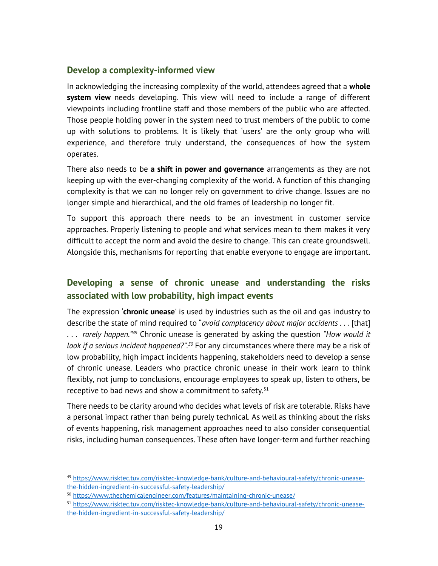## Develop a complexity-informed view

In acknowledging the increasing complexity of the world, attendees agreed that a whole **system view** needs developing. This view will need to include a range of different viewpoints including frontline staff and those members of the public who are affected. Those people holding power in the system need to trust members of the public to come up with solutions to problems. It is likely that 'users' are the only group who will experience, and therefore truly understand, the consequences of how the system operates.

There also needs to be a shift in power and governance arrangements as they are not keeping up with the ever-changing complexity of the world. A function of this changing complexity is that we can no longer rely on government to drive change. Issues are no longer simple and hierarchical, and the old frames of leadership no longer fit.

To support this approach there needs to be an investment in customer service approaches. Properly listening to people and what services mean to them makes it very difficult to accept the norm and avoid the desire to change. This can create groundswell. Alongside this, mechanisms for reporting that enable everyone to engage are important.

# Developing a sense of chronic unease and understanding the risks associated with low probability, high impact events

The expression **'chronic unease**' is used by industries such as the oil and gas industry to describe the state of mind required to "*avoid complacency about major accidents* . . . [that]  $\ldots$  rarely happen.<sup>"49</sup> Chronic unease is generated by asking the question "How would it look if a serious incident happened?".<sup>50</sup> For any circumstances where there may be a risk of low probability, high impact incidents happening, stakeholders need to develop a sense of chronic unease. Leaders who practice chronic unease in their work learn to think flexibly, not jump to conclusions, encourage employees to speak up, listen to others, be receptive to bad news and show a commitment to safety. $51$ 

There needs to be clarity around who decides what levels of risk are tolerable. Risks have a personal impact rather than being purely technical. As well as thinking about the risks of events happening, risk management approaches need to also consider consequential risks, including human consequences. These often have longer-term and further reaching

<sup>49</sup> https://www.risktec.tuv.com/risktec-knowledge-bank/culture-and-behavioural-safety/chronic-uneasethe-hidden-ingredient-in-successful-safety-leadership/

<sup>50</sup> https://www.thechemicalengineer.com/features/maintaining-chronic-unease/

<sup>51</sup> https://www.risktec.tuv.com/risktec-knowledge-bank/culture-and-behavioural-safety/chronic-uneasethe-hidden-ingredient-in-successful-safety-leadership/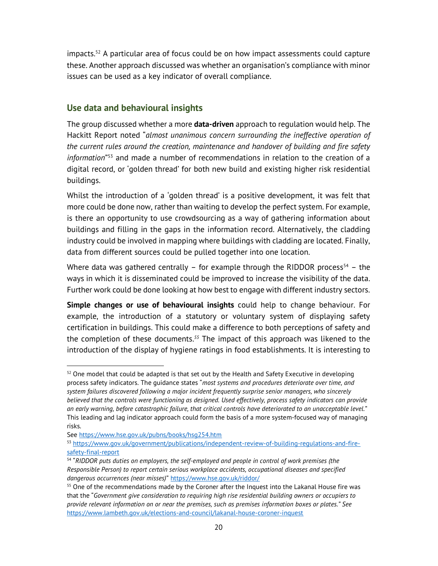$impacts.<sup>52</sup>$  A particular area of focus could be on how impact assessments could capture these. Another approach discussed was whether an organisation's compliance with minor issues can be used as a key indicator of overall compliance.

# Use data and behavioural insights

The group discussed whether a more **data-driven** approach to regulation would help. The Hackitt Report noted "almost unanimous concern surrounding the ineffective operation of the current rules around the creation, maintenance and handover of building and fire safety information<sup>"53</sup> and made a number of recommendations in relation to the creation of a digital record, or 'golden thread' for both new build and existing higher risk residential buildings.

Whilst the introduction of a 'golden thread' is a positive development, it was felt that more could be done now, rather than waiting to develop the perfect system. For example, is there an opportunity to use crowdsourcing as a way of gathering information about buildings and filling in the gaps in the information record. Alternatively, the cladding industry could be involved in mapping where buildings with cladding are located. Finally, data from different sources could be pulled together into one location.

Where data was gathered centrally – for example through the RIDDOR process<sup>54</sup> – the ways in which it is disseminated could be improved to increase the visibility of the data. Further work could be done looking at how best to engage with different industry sectors.

Simple changes or use of behavioural insights could help to change behaviour. For example, the introduction of a statutory or voluntary system of displaying safety certification in buildings. This could make a difference to both perceptions of safety and the completion of these documents.<sup>55</sup> The impact of this approach was likened to the introduction of the display of hygiene ratings in food establishments. It is interesting to

 $52$  One model that could be adapted is that set out by the Health and Safety Executive in developing process safety indicators. The quidance states "most systems and procedures deteriorate over time, and system failures discovered following a major incident frequently surprise senior managers, who sincerely believed that the controls were functioning as designed. Used effectively, process safety indicators can provide an early warning, before catastrophic failure, that critical controls have deteriorated to an unacceptable level." This leading and lag indicator approach could form the basis of a more system-focused way of managing risks.

See https://www.hse.gov.uk/pubns/books/hsg254.htm

<sup>53</sup> https://www.gov.uk/government/publications/independent-review-of-building-regulations-and-firesafety-final-report

<sup>&</sup>lt;sup>54</sup> "RIDDOR puts duties on employers, the self-employed and people in control of work premises (the Responsible Person) to report certain serious workplace accidents, occupational diseases and specified dangerous occurrences (near misses)" https://www.hse.gov.uk/riddor/

<sup>&</sup>lt;sup>55</sup> One of the recommendations made by the Coroner after the Inquest into the Lakanal House fire was that the "Government give consideration to requiring high rise residential building owners or occupiers to provide relevant information on or near the premises, such as premises information boxes or plates." See https://www.lambeth.gov.uk/elections-and-council/lakanal-house-coroner-inquest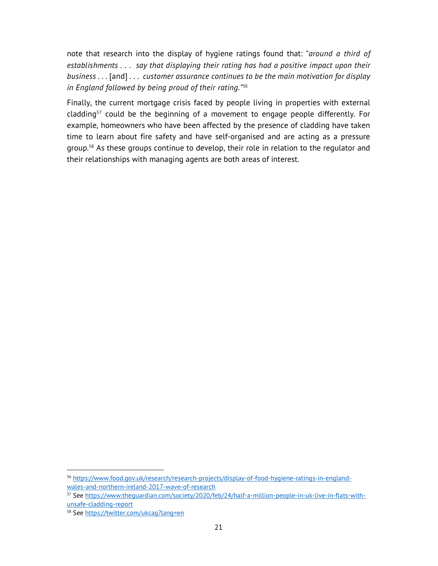note that research into the display of hygiene ratings found that: "around a third of establishments . . . say that displaying their rating has had a positive impact upon their business . . . [and] . . . customer assurance continues to be the main motivation for display in England followed by being proud of their rating."<sup>56</sup>

Finally, the current mortgage crisis faced by people living in properties with external cladding $57$  could be the beginning of a movement to engage people differently. For example, homeowners who have been affected by the presence of cladding have taken time to learn about fire safety and have self-organised and are acting as a pressure group.<sup>58</sup> As these groups continue to develop, their role in relation to the regulator and their relationships with managing agents are both areas of interest.

<sup>56</sup> https://www.food.gov.uk/research/research-projects/display-of-food-hygiene-ratings-in-englandwales-and-northern-ireland-2017-wave-of-research

<sup>57</sup> See https://www.theguardian.com/society/2020/feb/24/half-a-million-people-in-uk-live-in-flats-withunsafe-cladding-report

<sup>58</sup> See https://twitter.com/ukcag?lang=en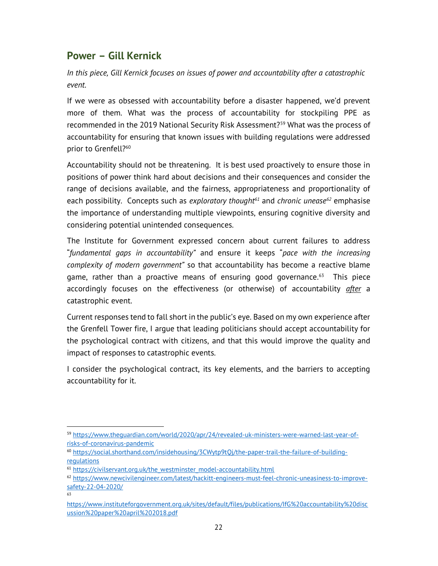# Power – Gill Kernick

In this piece, Gill Kernick focuses on issues of power and accountability after a catastrophic event.

If we were as obsessed with accountability before a disaster happened, we'd prevent more of them. What was the process of accountability for stockpiling PPE as recommended in the 2019 National Security Risk Assessment?<sup>59</sup> What was the process of accountability for ensuring that known issues with building regulations were addressed prior to Grenfell?<sup>60</sup>

Accountability should not be threatening. It is best used proactively to ensure those in positions of power think hard about decisions and their consequences and consider the range of decisions available, and the fairness, appropriateness and proportionality of each possibility. Concepts such as exploratory thought<sup>61</sup> and chronic unease<sup>62</sup> emphasise the importance of understanding multiple viewpoints, ensuring cognitive diversity and considering potential unintended consequences.

The Institute for Government expressed concern about current failures to address "fundamental gaps in accountability" and ensure it keeps "pace with the increasing complexity of modern government" so that accountability has become a reactive blame game, rather than a proactive means of ensuring good governance. $63$  This piece accordingly focuses on the effectiveness (or otherwise) of accountability *after* a catastrophic event.

Current responses tend to fall short in the public's eye. Based on my own experience after the Grenfell Tower fire, I argue that leading politicians should accept accountability for the psychological contract with citizens, and that this would improve the quality and impact of responses to catastrophic events.

I consider the psychological contract, its key elements, and the barriers to accepting accountability for it.

<sup>59</sup> https://www.theguardian.com/world/2020/apr/24/revealed-uk-ministers-were-warned-last-year-ofrisks-of-coronavirus-pandemic

<sup>60</sup> https://social.shorthand.com/insidehousing/3CWytp9tQj/the-paper-trail-the-failure-of-buildingregulations

<sup>&</sup>lt;sup>61</sup> https://civilservant.org.uk/the\_westminster\_model-accountability.html

<sup>62</sup> https://www.newcivilengineer.com/latest/hackitt-engineers-must-feel-chronic-uneasiness-to-improvesafety-22-04-2020/ 63

https://www.instituteforgovernment.org.uk/sites/default/files/publications/IfG%20accountability%20disc ussion%20paper%20april%202018.pdf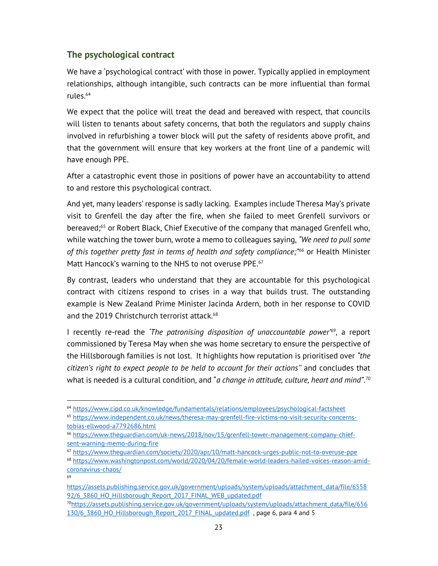# The psychological contract

69

We have a 'psychological contract' with those in power. Typically applied in employment relationships, although intangible, such contracts can be more influential than formal rules.<sup>64</sup>

We expect that the police will treat the dead and bereaved with respect, that councils will listen to tenants about safety concerns, that both the regulators and supply chains involved in refurbishing a tower block will put the safety of residents above profit, and that the government will ensure that key workers at the front line of a pandemic will have enough PPE.

After a catastrophic event those in positions of power have an accountability to attend to and restore this psychological contract.

And yet, many leaders' response is sadly lacking. Examples include Theresa May's private visit to Grenfell the day after the fire, when she failed to meet Grenfell survivors or bereaved;<sup>65</sup> or Robert Black, Chief Executive of the company that managed Grenfell who, while watching the tower burn, wrote a memo to colleagues saying, "We need to pull some of this together pretty fast in terms of health and safety compliance;<sup>"66</sup> or Health Minister Matt Hancock's warning to the NHS to not overuse PPE.<sup>67</sup>

By contrast, leaders who understand that they are accountable for this psychological contract with citizens respond to crises in a way that builds trust. The outstanding example is New Zealand Prime Minister Jacinda Ardern, both in her response to COVID and the 2019 Christchurch terrorist attack.<sup>68</sup>

I recently re-read the 'The patronising disposition of unaccountable power<sup>'69</sup>, a report commissioned by Teresa May when she was home secretary to ensure the perspective of the Hillsborough families is not lost. It highlights how reputation is prioritised over "the citizen's right to expect people to be held to account for their actions'' and concludes that what is needed is a cultural condition, and "*a change in attitude, culture, heart and mind*".<sup>70</sup>

<sup>70</sup>https://assets.publishing.service.gov.uk/government/uploads/system/uploads/attachment\_data/file/656 130/6 3860 HO\_Hillsborough\_Report\_2017\_FINAL\_updated.pdf , page 6, para 4 and 5

<sup>64</sup> https://www.cipd.co.uk/knowledge/fundamentals/relations/employees/psychological-factsheet

<sup>65</sup> https://www.independent.co.uk/news/theresa-may-grenfell-fire-victims-no-visit-security-concernstobias-ellwood-a7792686.html

<sup>66</sup> https://www.theguardian.com/uk-news/2018/nov/15/grenfell-tower-management-company-chiefsent-warning-memo-during-fire

<sup>67</sup> https://www.theguardian.com/society/2020/apr/10/matt-hancock-urges-public-not-to-overuse-ppe

<sup>68</sup> https://www.washingtonpost.com/world/2020/04/20/female-world-leaders-hailed-voices-reason-amidcoronavirus-chaos/

https://assets.publishing.service.gov.uk/government/uploads/system/uploads/attachment\_data/file/6558 92/6 3860 HO\_Hillsborough\_Report\_2017\_FINAL\_WEB\_updated.pdf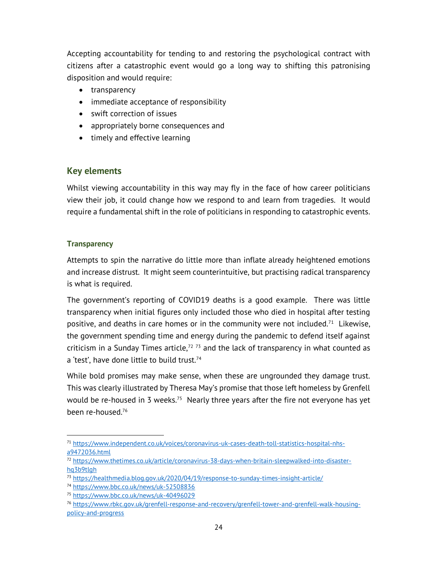Accepting accountability for tending to and restoring the psychological contract with citizens after a catastrophic event would go a long way to shifting this patronising disposition and would require:

- transparency
- immediate acceptance of responsibility
- swift correction of issues
- appropriately borne consequences and
- timely and effective learning

## Key elements

Whilst viewing accountability in this way may fly in the face of how career politicians view their job, it could change how we respond to and learn from tragedies. It would require a fundamental shift in the role of politicians in responding to catastrophic events.

#### **Transparency**

Attempts to spin the narrative do little more than inflate already heightened emotions and increase distrust. It might seem counterintuitive, but practising radical transparency is what is required.

The government's reporting of COVID19 deaths is a good example. There was little transparency when initial figures only included those who died in hospital after testing positive, and deaths in care homes or in the community were not included.<sup>71</sup> Likewise, the government spending time and energy during the pandemic to defend itself against criticism in a Sunday Times article, $72$  73 and the lack of transparency in what counted as a 'test', have done little to build trust.<sup>74</sup>

While bold promises may make sense, when these are ungrounded they damage trust. This was clearly illustrated by Theresa May's promise that those left homeless by Grenfell would be re-housed in 3 weeks.<sup>75</sup> Nearly three years after the fire not everyone has yet been re-housed.<sup>76</sup>

<sup>71</sup> https://www.independent.co.uk/voices/coronavirus-uk-cases-death-toll-statistics-hospital-nhsa9472036.html

<sup>72</sup> https://www.thetimes.co.uk/article/coronavirus-38-days-when-britain-sleepwalked-into-disasterhq3b9tlgh

<sup>73</sup> https://healthmedia.blog.gov.uk/2020/04/19/response-to-sunday-times-insight-article/

<sup>74</sup> https://www.bbc.co.uk/news/uk-52508836

<sup>75</sup> https://www.bbc.co.uk/news/uk-40496029

<sup>76</sup> https://www.rbkc.gov.uk/grenfell-response-and-recovery/grenfell-tower-and-grenfell-walk-housingpolicy-and-progress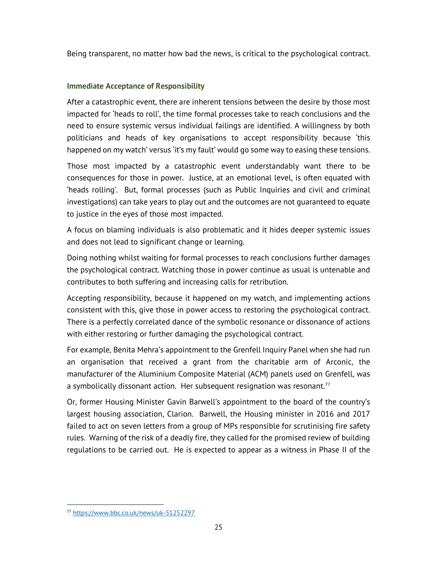Being transparent, no matter how bad the news, is critical to the psychological contract.

#### Immediate Acceptance of Responsibility

After a catastrophic event, there are inherent tensions between the desire by those most impacted for 'heads to roll', the time formal processes take to reach conclusions and the need to ensure systemic versus individual failings are identified. A willingness by both politicians and heads of key organisations to accept responsibility because 'this happened on my watch' versus 'it's my fault' would go some way to easing these tensions.

Those most impacted by a catastrophic event understandably want there to be consequences for those in power. Justice, at an emotional level, is often equated with 'heads rolling'. But, formal processes (such as Public Inquiries and civil and criminal investigations) can take years to play out and the outcomes are not guaranteed to equate to justice in the eyes of those most impacted.

A focus on blaming individuals is also problematic and it hides deeper systemic issues and does not lead to significant change or learning.

Doing nothing whilst waiting for formal processes to reach conclusions further damages the psychological contract. Watching those in power continue as usual is untenable and contributes to both suffering and increasing calls for retribution.

Accepting responsibility, because it happened on my watch, and implementing actions consistent with this, give those in power access to restoring the psychological contract. There is a perfectly correlated dance of the symbolic resonance or dissonance of actions with either restoring or further damaging the psychological contract.

For example, Benita Mehra's appointment to the Grenfell Inquiry Panel when she had run an organisation that received a grant from the charitable arm of Arconic, the manufacturer of the Aluminium Composite Material (ACM) panels used on Grenfell, was a symbolically dissonant action. Her subsequent resignation was resonant. $77$ 

Or, former Housing Minister Gavin Barwell's appointment to the board of the country's largest housing association, Clarion. Barwell, the Housing minister in 2016 and 2017 failed to act on seven letters from a group of MPs responsible for scrutinising fire safety rules. Warning of the risk of a deadly fire, they called for the promised review of building regulations to be carried out. He is expected to appear as a witness in Phase II of the

<sup>77</sup> https://www.bbc.co.uk/news/uk-51252297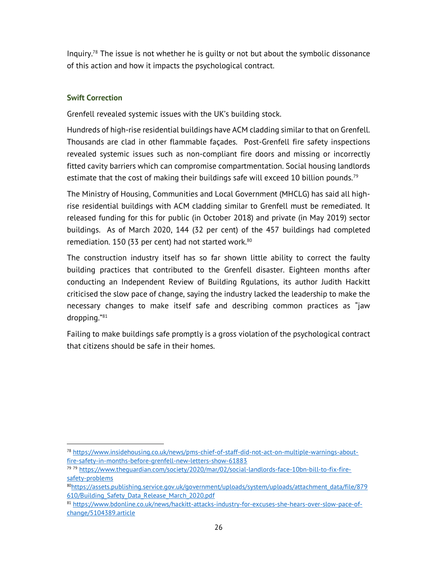Inquiry.78 The issue is not whether he is guilty or not but about the symbolic dissonance of this action and how it impacts the psychological contract.

#### Swift Correction

Grenfell revealed systemic issues with the UK's building stock.

Hundreds of high-rise residential buildings have ACM cladding similar to that on Grenfell. Thousands are clad in other flammable façades. Post-Grenfell fire safety inspections revealed systemic issues such as non-compliant fire doors and missing or incorrectly fitted cavity barriers which can compromise compartmentation. Social housing landlords estimate that the cost of making their buildings safe will exceed 10 billion pounds.<sup>79</sup>

The Ministry of Housing, Communities and Local Government (MHCLG) has said all highrise residential buildings with ACM cladding similar to Grenfell must be remediated. It released funding for this for public (in October 2018) and private (in May 2019) sector buildings. As of March 2020, 144 (32 per cent) of the 457 buildings had completed remediation. 150 (33 per cent) had not started work. $^{80}$ 

The construction industry itself has so far shown little ability to correct the faulty building practices that contributed to the Grenfell disaster. Eighteen months after conducting an Independent Review of Building Rgulations, its author Judith Hackitt criticised the slow pace of change, saying the industry lacked the leadership to make the necessary changes to make itself safe and describing common practices as "jaw dropping."<sup>81</sup>

Failing to make buildings safe promptly is a gross violation of the psychological contract that citizens should be safe in their homes.

<sup>78</sup> https://www.insidehousing.co.uk/news/pms-chief-of-staff-did-not-act-on-multiple-warnings-aboutfire-safety-in-months-before-grenfell-new-letters-show-61883

<sup>79</sup> <sup>79</sup> https://www.theguardian.com/society/2020/mar/02/social-landlords-face-10bn-bill-to-fix-firesafety-problems

<sup>80</sup>https://assets.publishing.service.gov.uk/government/uploads/system/uploads/attachment\_data/file/879 610/Building\_Safety\_Data\_Release\_March\_2020.pdf

<sup>81</sup> https://www.bdonline.co.uk/news/hackitt-attacks-industry-for-excuses-she-hears-over-slow-pace-ofchange/5104389.article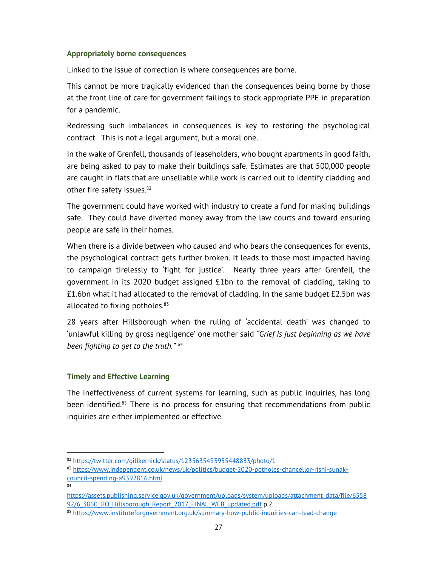#### Appropriately borne consequences

Linked to the issue of correction is where consequences are borne.

This cannot be more tragically evidenced than the consequences being borne by those at the front line of care for government failings to stock appropriate PPE in preparation for a pandemic.

Redressing such imbalances in consequences is key to restoring the psychological contract. This is not a legal argument, but a moral one.

In the wake of Grenfell, thousands of leaseholders, who bought apartments in good faith, are being asked to pay to make their buildings safe. Estimates are that 500,000 people are caught in flats that are unsellable while work is carried out to identify cladding and other fire safety issues.<sup>82</sup>

The government could have worked with industry to create a fund for making buildings safe. They could have diverted money away from the law courts and toward ensuring people are safe in their homes.

When there is a divide between who caused and who bears the consequences for events, the psychological contract gets further broken. It leads to those most impacted having to campaign tirelessly to 'fight for justice'. Nearly three years after Grenfell, the government in its 2020 budget assigned £1bn to the removal of cladding, taking to £1.6bn what it had allocated to the removal of cladding. In the same budget £2.5bn was allocated to fixing potholes.<sup>83</sup>

28 years after Hillsborough when the ruling of 'accidental death' was changed to 'unlawful killing by gross negligence' one mother said "Grief is just beginning as we have been fighting to get to the truth."  $84$ 

#### Timely and Effective Learning

The ineffectiveness of current systems for learning, such as public inquiries, has long been identified.<sup>85</sup> There is no process for ensuring that recommendations from public inquiries are either implemented or effective.

84

<sup>82</sup> https://twitter.com/gillkernick/status/1235635493955448833/photo/1

<sup>83</sup> https://www.independent.co.uk/news/uk/politics/budget-2020-potholes-chancellor-rishi-sunakcouncil-spending-a9392816.html

https://assets.publishing.service.gov.uk/government/uploads/system/uploads/attachment\_data/file/6558 92/6 3860 HO\_Hillsborough\_Report\_2017\_FINAL\_WEB\_updated.pdf p.2.

<sup>85</sup> https://www.instituteforgovernment.org.uk/summary-how-public-inquiries-can-lead-change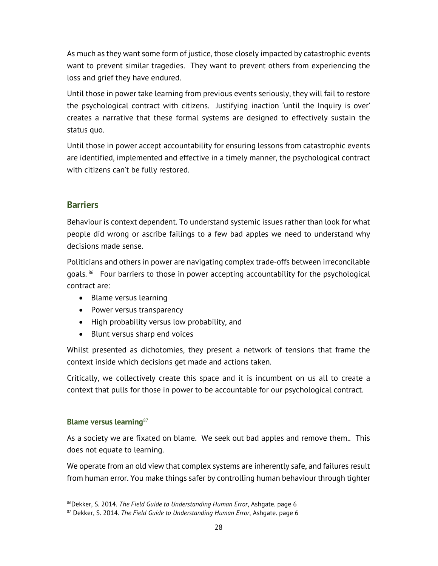As much as they want some form of justice, those closely impacted by catastrophic events want to prevent similar tragedies. They want to prevent others from experiencing the loss and grief they have endured.

Until those in power take learning from previous events seriously, they will fail to restore the psychological contract with citizens. Justifying inaction 'until the Inquiry is over' creates a narrative that these formal systems are designed to effectively sustain the status quo.

Until those in power accept accountability for ensuring lessons from catastrophic events are identified, implemented and effective in a timely manner, the psychological contract with citizens can't be fully restored.

# **Barriers**

Behaviour is context dependent. To understand systemic issues rather than look for what people did wrong or ascribe failings to a few bad apples we need to understand why decisions made sense.

Politicians and others in power are navigating complex trade-offs between irreconcilable goals.<sup>86</sup> Four barriers to those in power accepting accountability for the psychological contract are:

- Blame versus learning
- Power versus transparency
- High probability versus low probability, and
- Blunt versus sharp end voices

Whilst presented as dichotomies, they present a network of tensions that frame the context inside which decisions get made and actions taken.

Critically, we collectively create this space and it is incumbent on us all to create a context that pulls for those in power to be accountable for our psychological contract.

#### Blame versus learning<sup>87</sup>

As a society we are fixated on blame. We seek out bad apples and remove them.. This does not equate to learning.

We operate from an old view that complex systems are inherently safe, and failures result from human error. You make things safer by controlling human behaviour through tighter

<sup>86</sup>Dekker, S. 2014. The Field Guide to Understanding Human Error, Ashgate. page 6

 $87$  Dekker, S. 2014. The Field Guide to Understanding Human Error, Ashgate. page 6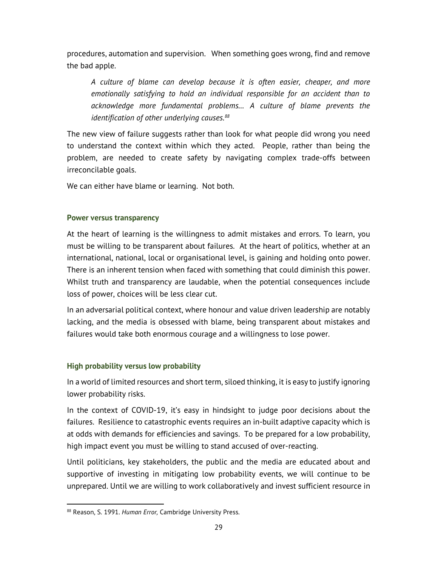procedures, automation and supervision. When something goes wrong, find and remove the bad apple.

A culture of blame can develop because it is often easier, cheaper, and more emotionally satisfying to hold an individual responsible for an accident than to acknowledge more fundamental problems… A culture of blame prevents the identification of other underlying causes. $88$ 

The new view of failure suggests rather than look for what people did wrong you need to understand the context within which they acted. People, rather than being the problem, are needed to create safety by navigating complex trade-offs between irreconcilable goals.

We can either have blame or learning. Not both.

#### Power versus transparency

At the heart of learning is the willingness to admit mistakes and errors. To learn, you must be willing to be transparent about failures. At the heart of politics, whether at an international, national, local or organisational level, is gaining and holding onto power. There is an inherent tension when faced with something that could diminish this power. Whilst truth and transparency are laudable, when the potential consequences include loss of power, choices will be less clear cut.

In an adversarial political context, where honour and value driven leadership are notably lacking, and the media is obsessed with blame, being transparent about mistakes and failures would take both enormous courage and a willingness to lose power.

## High probability versus low probability

In a world of limited resources and short term, siloed thinking, it is easy to justify ignoring lower probability risks.

In the context of COVID-19, it's easy in hindsight to judge poor decisions about the failures. Resilience to catastrophic events requires an in-built adaptive capacity which is at odds with demands for efficiencies and savings. To be prepared for a low probability, high impact event you must be willing to stand accused of over-reacting.

Until politicians, key stakeholders, the public and the media are educated about and supportive of investing in mitigating low probability events, we will continue to be unprepared. Until we are willing to work collaboratively and invest sufficient resource in

<sup>88</sup> Reason, S. 1991. Human Error, Cambridge University Press.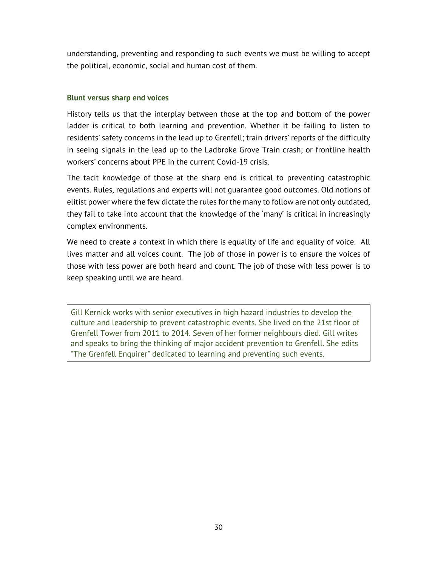understanding, preventing and responding to such events we must be willing to accept the political, economic, social and human cost of them.

#### Blunt versus sharp end voices

History tells us that the interplay between those at the top and bottom of the power ladder is critical to both learning and prevention. Whether it be failing to listen to residents' safety concerns in the lead up to Grenfell; train drivers' reports of the difficulty in seeing signals in the lead up to the Ladbroke Grove Train crash; or frontline health workers' concerns about PPE in the current Covid-19 crisis.

The tacit knowledge of those at the sharp end is critical to preventing catastrophic events. Rules, regulations and experts will not guarantee good outcomes. Old notions of elitist power where the few dictate the rules for the many to follow are not only outdated, they fail to take into account that the knowledge of the 'many' is critical in increasingly complex environments.

We need to create a context in which there is equality of life and equality of voice. All lives matter and all voices count. The job of those in power is to ensure the voices of those with less power are both heard and count. The job of those with less power is to keep speaking until we are heard.

Gill Kernick works with senior executives in high hazard industries to develop the culture and leadership to prevent catastrophic events. She lived on the 21st floor of Grenfell Tower from 2011 to 2014. Seven of her former neighbours died. Gill writes and speaks to bring the thinking of major accident prevention to Grenfell. She edits "The Grenfell Enquirer" dedicated to learning and preventing such events.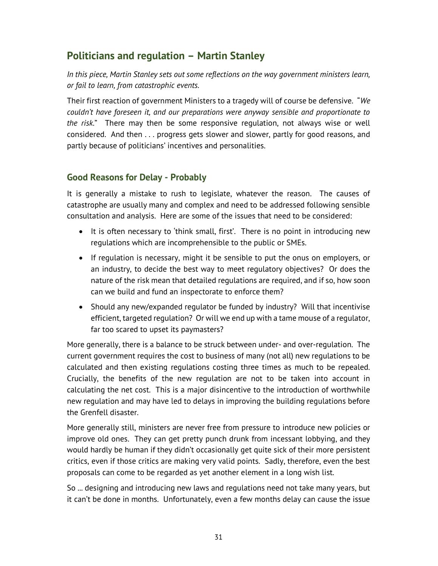# Politicians and regulation – Martin Stanley

In this piece, Martin Stanley sets out some reflections on the way government ministers learn, or fail to learn, from catastrophic events.

Their first reaction of government Ministers to a tragedy will of course be defensive. "We couldn't have foreseen it, and our preparations were anyway sensible and proportionate to the risk." There may then be some responsive regulation, not always wise or well considered. And then . . . progress gets slower and slower, partly for good reasons, and partly because of politicians' incentives and personalities.

# Good Reasons for Delay - Probably

It is generally a mistake to rush to legislate, whatever the reason. The causes of catastrophe are usually many and complex and need to be addressed following sensible consultation and analysis. Here are some of the issues that need to be considered:

- It is often necessary to 'think small, first'. There is no point in introducing new regulations which are incomprehensible to the public or SMEs.
- If regulation is necessary, might it be sensible to put the onus on employers, or an industry, to decide the best way to meet regulatory objectives? Or does the nature of the risk mean that detailed regulations are required, and if so, how soon can we build and fund an inspectorate to enforce them?
- Should any new/expanded regulator be funded by industry? Will that incentivise efficient, targeted regulation? Or will we end up with a tame mouse of a regulator, far too scared to upset its paymasters?

More generally, there is a balance to be struck between under- and over-regulation. The current government requires the cost to business of many (not all) new regulations to be calculated and then existing regulations costing three times as much to be repealed. Crucially, the benefits of the new regulation are not to be taken into account in calculating the net cost. This is a major disincentive to the introduction of worthwhile new regulation and may have led to delays in improving the building regulations before the Grenfell disaster.

More generally still, ministers are never free from pressure to introduce new policies or improve old ones. They can get pretty punch drunk from incessant lobbying, and they would hardly be human if they didn't occasionally get quite sick of their more persistent critics, even if those critics are making very valid points. Sadly, therefore, even the best proposals can come to be regarded as yet another element in a long wish list.

So ... designing and introducing new laws and regulations need not take many years, but it can't be done in months. Unfortunately, even a few months delay can cause the issue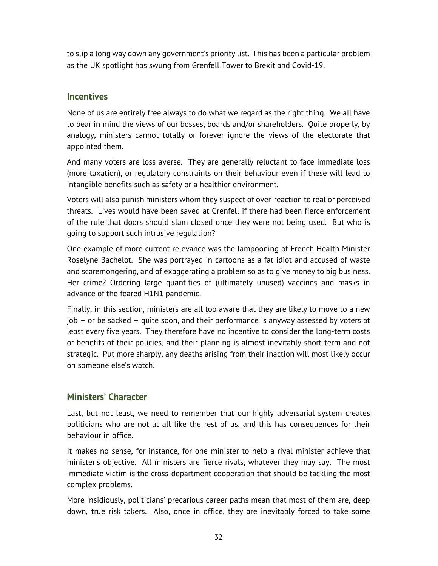to slip a long way down any government's priority list. This has been a particular problem as the UK spotlight has swung from Grenfell Tower to Brexit and Covid-19.

### **Incentives**

None of us are entirely free always to do what we regard as the right thing. We all have to bear in mind the views of our bosses, boards and/or shareholders. Quite properly, by analogy, ministers cannot totally or forever ignore the views of the electorate that appointed them.

And many voters are loss averse. They are generally reluctant to face immediate loss (more taxation), or regulatory constraints on their behaviour even if these will lead to intangible benefits such as safety or a healthier environment.

Voters will also punish ministers whom they suspect of over-reaction to real or perceived threats. Lives would have been saved at Grenfell if there had been fierce enforcement of the rule that doors should slam closed once they were not being used. But who is going to support such intrusive regulation?

One example of more current relevance was the lampooning of French Health Minister Roselyne Bachelot. She was portrayed in cartoons as a fat idiot and accused of waste and scaremongering, and of exaggerating a problem so as to give money to big business. Her crime? Ordering large quantities of (ultimately unused) vaccines and masks in advance of the feared H1N1 pandemic.

Finally, in this section, ministers are all too aware that they are likely to move to a new job – or be sacked – quite soon, and their performance is anyway assessed by voters at least every five years. They therefore have no incentive to consider the long-term costs or benefits of their policies, and their planning is almost inevitably short-term and not strategic. Put more sharply, any deaths arising from their inaction will most likely occur on someone else's watch.

## Ministers' Character

Last, but not least, we need to remember that our highly adversarial system creates politicians who are not at all like the rest of us, and this has consequences for their behaviour in office.

It makes no sense, for instance, for one minister to help a rival minister achieve that minister's objective. All ministers are fierce rivals, whatever they may say. The most immediate victim is the cross-department cooperation that should be tackling the most complex problems.

More insidiously, politicians' precarious career paths mean that most of them are, deep down, true risk takers. Also, once in office, they are inevitably forced to take some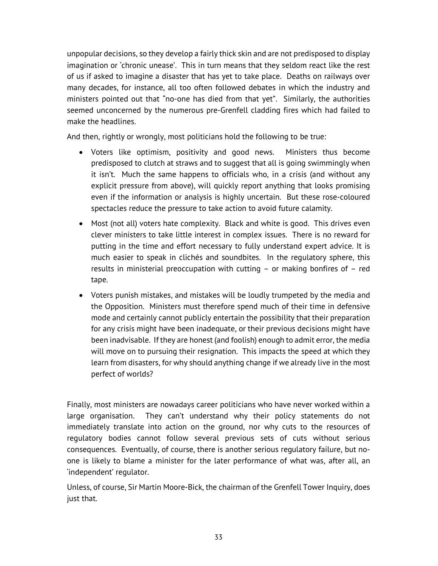unpopular decisions, so they develop a fairly thick skin and are not predisposed to display imagination or 'chronic unease'. This in turn means that they seldom react like the rest of us if asked to imagine a disaster that has yet to take place. Deaths on railways over many decades, for instance, all too often followed debates in which the industry and ministers pointed out that "no-one has died from that yet". Similarly, the authorities seemed unconcerned by the numerous pre-Grenfell cladding fires which had failed to make the headlines.

And then, rightly or wrongly, most politicians hold the following to be true:

- Voters like optimism, positivity and good news. Ministers thus become predisposed to clutch at straws and to suggest that all is going swimmingly when it isn't. Much the same happens to officials who, in a crisis (and without any explicit pressure from above), will quickly report anything that looks promising even if the information or analysis is highly uncertain. But these rose-coloured spectacles reduce the pressure to take action to avoid future calamity.
- Most (not all) voters hate complexity. Black and white is good. This drives even clever ministers to take little interest in complex issues. There is no reward for putting in the time and effort necessary to fully understand expert advice. It is much easier to speak in clichés and soundbites. In the regulatory sphere, this results in ministerial preoccupation with cutting – or making bonfires of – red tape.
- Voters punish mistakes, and mistakes will be loudly trumpeted by the media and the Opposition. Ministers must therefore spend much of their time in defensive mode and certainly cannot publicly entertain the possibility that their preparation for any crisis might have been inadequate, or their previous decisions might have been inadvisable. If they are honest (and foolish) enough to admit error, the media will move on to pursuing their resignation. This impacts the speed at which they learn from disasters, for why should anything change if we already live in the most perfect of worlds?

Finally, most ministers are nowadays career politicians who have never worked within a large organisation. They can't understand why their policy statements do not immediately translate into action on the ground, nor why cuts to the resources of regulatory bodies cannot follow several previous sets of cuts without serious consequences. Eventually, of course, there is another serious regulatory failure, but noone is likely to blame a minister for the later performance of what was, after all, an 'independent' regulator.

Unless, of course, Sir Martin Moore-Bick, the chairman of the Grenfell Tower Inquiry, does just that.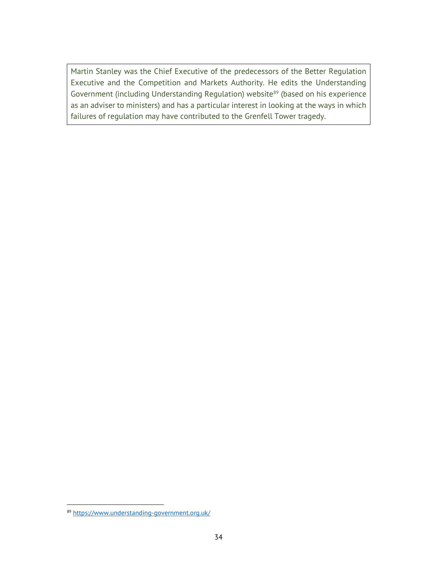Martin Stanley was the Chief Executive of the predecessors of the Better Regulation Executive and the Competition and Markets Authority. He edits the Understanding Government (including Understanding Regulation) website<sup>89</sup> (based on his experience as an adviser to ministers) and has a particular interest in looking at the ways in which failures of regulation may have contributed to the Grenfell Tower tragedy.

<sup>89</sup> https://www.understanding-government.org.uk/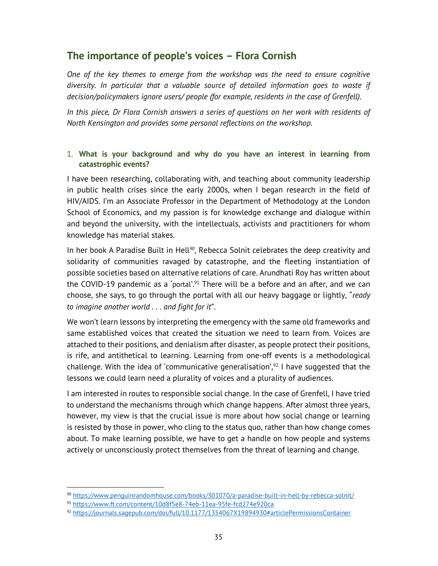# The importance of people's voices – Flora Cornish

One of the key themes to emerge from the workshop was the need to ensure cognitive diversity. In particular that a valuable source of detailed information goes to waste if decision/policymakers ignore users/ people (for example, residents in the case of Grenfell).

In this piece, Dr Flora Cornish answers a series of questions on her work with residents of North Kensington and provides some personal reflections on the workshop.

#### 1. What is your background and why do you have an interest in learning from catastrophic events?

I have been researching, collaborating with, and teaching about community leadership in public health crises since the early 2000s, when I began research in the field of HIV/AIDS. I'm an Associate Professor in the Department of Methodology at the London School of Economics, and my passion is for knowledge exchange and dialogue within and beyond the university, with the intellectuals, activists and practitioners for whom knowledge has material stakes.

In her book A Paradise Built in Hell<sup>90</sup>, Rebecca Solnit celebrates the deep creativity and solidarity of communities ravaged by catastrophe, and the fleeting instantiation of possible societies based on alternative relations of care. Arundhati Roy has written about the COVID-19 pandemic as a 'portal'.<sup>91</sup> There will be a before and an after, and we can choose, she says, to go through the portal with all our heavy baggage or lightly, "ready to imagine another world . . . and fight for it".

We won't learn lessons by interpreting the emergency with the same old frameworks and same established voices that created the situation we need to learn from. Voices are attached to their positions, and denialism after disaster, as people protect their positions, is rife, and antithetical to learning. Learning from one-off events is a methodological challenge. With the idea of 'communicative generalisation', $92$  I have suggested that the lessons we could learn need a plurality of voices and a plurality of audiences.

I am interested in routes to responsible social change. In the case of Grenfell, I have tried to understand the mechanisms through which change happens. After almost three years, however, my view is that the crucial issue is more about how social change or learning is resisted by those in power, who cling to the status quo, rather than how change comes about. To make learning possible, we have to get a handle on how people and systems actively or unconsciously protect themselves from the threat of learning and change.

<sup>90</sup> https://www.penguinrandomhouse.com/books/301070/a-paradise-built-in-hell-by-rebecca-solnit/

<sup>91</sup> https://www.ft.com/content/10d8f5e8-74eb-11ea-95fe-fcd274e920ca

<sup>92</sup> https://journals.sagepub.com/doi/full/10.1177/1354067X19894930#articlePermissionsContainer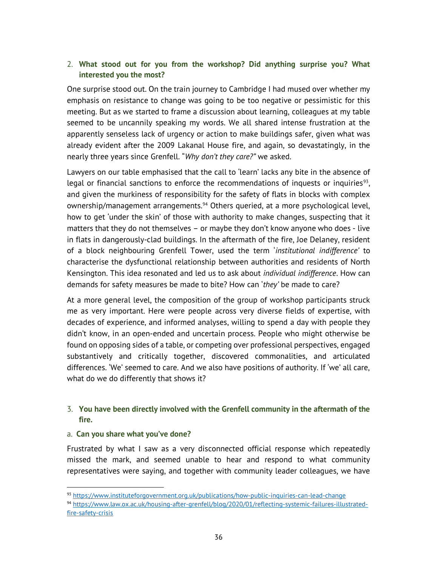#### 2. What stood out for you from the workshop? Did anything surprise you? What interested you the most?

One surprise stood out. On the train journey to Cambridge I had mused over whether my emphasis on resistance to change was going to be too negative or pessimistic for this meeting. But as we started to frame a discussion about learning, colleagues at my table seemed to be uncannily speaking my words. We all shared intense frustration at the apparently senseless lack of urgency or action to make buildings safer, given what was already evident after the 2009 Lakanal House fire, and again, so devastatingly, in the nearly three years since Grenfell. "Why don't they care?" we asked.

Lawyers on our table emphasised that the call to 'learn' lacks any bite in the absence of legal or financial sanctions to enforce the recommendations of inquests or inquiries<sup>93</sup>, and given the murkiness of responsibility for the safety of flats in blocks with complex ownership/management arrangements.<sup>94</sup> Others queried, at a more psychological level, how to get 'under the skin' of those with authority to make changes, suspecting that it matters that they do not themselves – or maybe they don't know anyone who does - live in flats in dangerously-clad buildings. In the aftermath of the fire, Joe Delaney, resident of a block neighbouring Grenfell Tower, used the term 'institutional indifference' to characterise the dysfunctional relationship between authorities and residents of North Kensington. This idea resonated and led us to ask about *individual indifference*. How can demands for safety measures be made to bite? How can 'they' be made to care?

At a more general level, the composition of the group of workshop participants struck me as very important. Here were people across very diverse fields of expertise, with decades of experience, and informed analyses, willing to spend a day with people they didn't know, in an open-ended and uncertain process. People who might otherwise be found on opposing sides of a table, or competing over professional perspectives, engaged substantively and critically together, discovered commonalities, and articulated differences. 'We' seemed to care. And we also have positions of authority. If 'we' all care, what do we do differently that shows it?

#### 3. You have been directly involved with the Grenfell community in the aftermath of the fire.

#### a. Can you share what you've done?

Frustrated by what I saw as a very disconnected official response which repeatedly missed the mark, and seemed unable to hear and respond to what community representatives were saying, and together with community leader colleagues, we have

<sup>93</sup> https://www.instituteforgovernment.org.uk/publications/how-public-inquiries-can-lead-change

<sup>94</sup> https://www.law.ox.ac.uk/housing-after-grenfell/blog/2020/01/reflecting-systemic-failures-illustratedfire-safety-crisis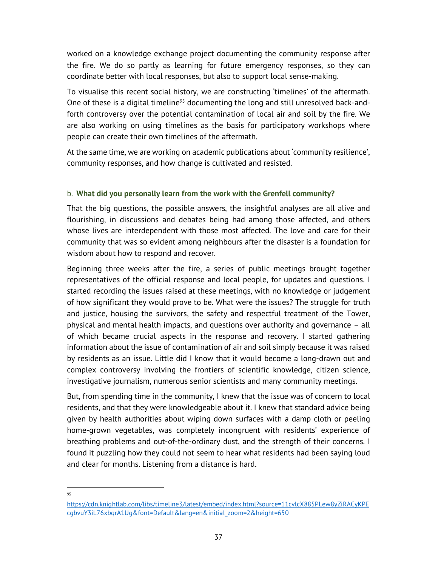worked on a knowledge exchange project documenting the community response after the fire. We do so partly as learning for future emergency responses, so they can coordinate better with local responses, but also to support local sense-making.

To visualise this recent social history, we are constructing 'timelines' of the aftermath. One of these is a digital timeline<sup>95</sup> documenting the long and still unresolved back-andforth controversy over the potential contamination of local air and soil by the fire. We are also working on using timelines as the basis for participatory workshops where people can create their own timelines of the aftermath.

At the same time, we are working on academic publications about 'community resilience', community responses, and how change is cultivated and resisted.

#### b. What did you personally learn from the work with the Grenfell community?

That the big questions, the possible answers, the insightful analyses are all alive and flourishing, in discussions and debates being had among those affected, and others whose lives are interdependent with those most affected. The love and care for their community that was so evident among neighbours after the disaster is a foundation for wisdom about how to respond and recover.

Beginning three weeks after the fire, a series of public meetings brought together representatives of the official response and local people, for updates and questions. I started recording the issues raised at these meetings, with no knowledge or judgement of how significant they would prove to be. What were the issues? The struggle for truth and justice, housing the survivors, the safety and respectful treatment of the Tower, physical and mental health impacts, and questions over authority and governance – all of which became crucial aspects in the response and recovery. I started gathering information about the issue of contamination of air and soil simply because it was raised by residents as an issue. Little did I know that it would become a long-drawn out and complex controversy involving the frontiers of scientific knowledge, citizen science, investigative journalism, numerous senior scientists and many community meetings.

But, from spending time in the community, I knew that the issue was of concern to local residents, and that they were knowledgeable about it. I knew that standard advice being given by health authorities about wiping down surfaces with a damp cloth or peeling home-grown vegetables, was completely incongruent with residents' experience of breathing problems and out-of-the-ordinary dust, and the strength of their concerns. I found it puzzling how they could not seem to hear what residents had been saying loud and clear for months. Listening from a distance is hard.

<sup>95</sup>

https://cdn.knightlab.com/libs/timeline3/latest/embed/index.html?source=11cvlcX885PLew8yZiRACyKPE cgbvuY3iL76xbqrA1Ug&font=Default&lang=en&initial\_zoom=2&height=650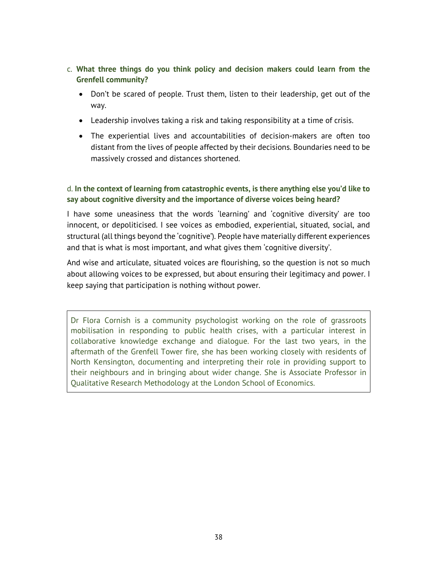- c. What three things do you think policy and decision makers could learn from the Grenfell community?
	- Don't be scared of people. Trust them, listen to their leadership, get out of the way.
	- Leadership involves taking a risk and taking responsibility at a time of crisis.
	- The experiential lives and accountabilities of decision-makers are often too distant from the lives of people affected by their decisions. Boundaries need to be massively crossed and distances shortened.

#### d. In the context of learning from catastrophic events, is there anything else you'd like to say about cognitive diversity and the importance of diverse voices being heard?

I have some uneasiness that the words 'learning' and 'cognitive diversity' are too innocent, or depoliticised. I see voices as embodied, experiential, situated, social, and structural (all things beyond the 'cognitive'). People have materially different experiences and that is what is most important, and what gives them 'cognitive diversity'.

And wise and articulate, situated voices are flourishing, so the question is not so much about allowing voices to be expressed, but about ensuring their legitimacy and power. I keep saying that participation is nothing without power.

Dr Flora Cornish is a community psychologist working on the role of grassroots mobilisation in responding to public health crises, with a particular interest in collaborative knowledge exchange and dialogue. For the last two years, in the aftermath of the Grenfell Tower fire, she has been working closely with residents of North Kensington, documenting and interpreting their role in providing support to their neighbours and in bringing about wider change. She is Associate Professor in Qualitative Research Methodology at the London School of Economics.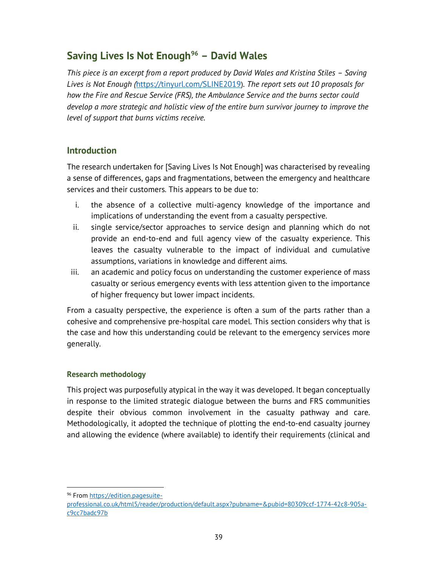# Saving Lives Is Not Enough<sup>96</sup> - David Wales

This piece is an excerpt from a report produced by David Wales and Kristina Stiles – Saving Lives is Not Enough (https://tinyurl.com/SLINE2019). The report sets out 10 proposals for how the Fire and Rescue Service (FRS), the Ambulance Service and the burns sector could develop a more strategic and holistic view of the entire burn survivor journey to improve the level of support that burns victims receive.

# **Introduction**

The research undertaken for [Saving Lives Is Not Enough] was characterised by revealing a sense of differences, gaps and fragmentations, between the emergency and healthcare services and their customers. This appears to be due to:

- i. the absence of a collective multi-agency knowledge of the importance and implications of understanding the event from a casualty perspective.
- ii. single service/sector approaches to service design and planning which do not provide an end-to-end and full agency view of the casualty experience. This leaves the casualty vulnerable to the impact of individual and cumulative assumptions, variations in knowledge and different aims.
- iii. an academic and policy focus on understanding the customer experience of mass casualty or serious emergency events with less attention given to the importance of higher frequency but lower impact incidents.

From a casualty perspective, the experience is often a sum of the parts rather than a cohesive and comprehensive pre-hospital care model. This section considers why that is the case and how this understanding could be relevant to the emergency services more generally.

#### Research methodology

This project was purposefully atypical in the way it was developed. It began conceptually in response to the limited strategic dialogue between the burns and FRS communities despite their obvious common involvement in the casualty pathway and care. Methodologically, it adopted the technique of plotting the end-to-end casualty journey and allowing the evidence (where available) to identify their requirements (clinical and

<sup>96</sup> From https://edition.pagesuite-

professional.co.uk/html5/reader/production/default.aspx?pubname=&pubid=80309ccf-1774-42c8-905ac9cc7badc97b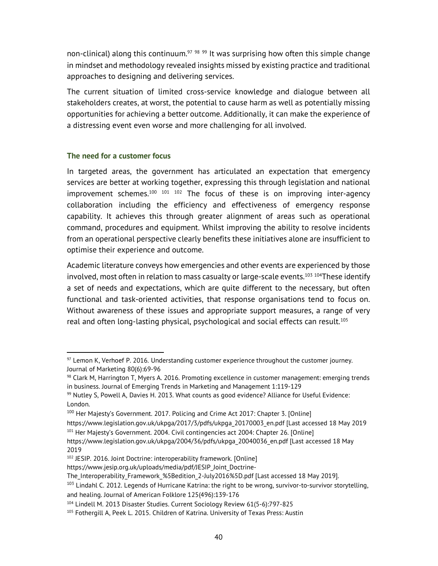non-clinical) along this continuum.<sup>97 98</sup> 99 It was surprising how often this simple change in mindset and methodology revealed insights missed by existing practice and traditional approaches to designing and delivering services.

The current situation of limited cross-service knowledge and dialogue between all stakeholders creates, at worst, the potential to cause harm as well as potentially missing opportunities for achieving a better outcome. Additionally, it can make the experience of a distressing event even worse and more challenging for all involved.

#### The need for a customer focus

In targeted areas, the government has articulated an expectation that emergency services are better at working together, expressing this through legislation and national improvement schemes. $100$   $101$   $102$  The focus of these is on improving inter-agency collaboration including the efficiency and effectiveness of emergency response capability. It achieves this through greater alignment of areas such as operational command, procedures and equipment. Whilst improving the ability to resolve incidents from an operational perspective clearly benefits these initiatives alone are insufficient to optimise their experience and outcome.

Academic literature conveys how emergencies and other events are experienced by those involved, most often in relation to mass casualty or large-scale events.<sup>103 104</sup>These identify a set of needs and expectations, which are quite different to the necessary, but often functional and task-oriented activities, that response organisations tend to focus on. Without awareness of these issues and appropriate support measures, a range of very real and often long-lasting physical, psychological and social effects can result.<sup>105</sup>

2019

<sup>97</sup> Lemon K, Verhoef P. 2016. Understanding customer experience throughout the customer journey. Journal of Marketing 80(6):69-96

<sup>98</sup> Clark M, Harrington T, Myers A. 2016. Promoting excellence in customer management: emerging trends in business. Journal of Emerging Trends in Marketing and Management 1:119-129

<sup>99</sup> Nutley S, Powell A, Davies H. 2013. What counts as good evidence? Alliance for Useful Evidence: London.

<sup>&</sup>lt;sup>100</sup> Her Majesty's Government. 2017. Policing and Crime Act 2017: Chapter 3. [Online]

https://www.legislation.gov.uk/ukpga/2017/3/pdfs/ukpga\_20170003\_en.pdf [Last accessed 18 May 2019 <sup>101</sup> Her Majesty's Government. 2004. Civil contingencies act 2004: Chapter 26. [Online] https://www.legislation.gov.uk/ukpga/2004/36/pdfs/ukpga\_20040036\_en.pdf [Last accessed 18 May

<sup>102</sup> JESIP. 2016. Joint Doctrine: interoperability framework. [Online]

https://www.jesip.org.uk/uploads/media/pdf/JESIP\_Joint\_Doctrine-

The\_Interoperability\_Framework\_%5Bedition\_2-July2016%5D.pdf [Last accessed 18 May 2019].

 $103$  Lindahl C. 2012. Legends of Hurricane Katrina: the right to be wrong, survivor-to-survivor storytelling, and healing. Journal of American Folklore 125(496):139-176

<sup>104</sup> Lindell M. 2013 Disaster Studies. Current Sociology Review 61(5-6):797-825

<sup>105</sup> Fothergill A, Peek L. 2015. Children of Katrina. University of Texas Press: Austin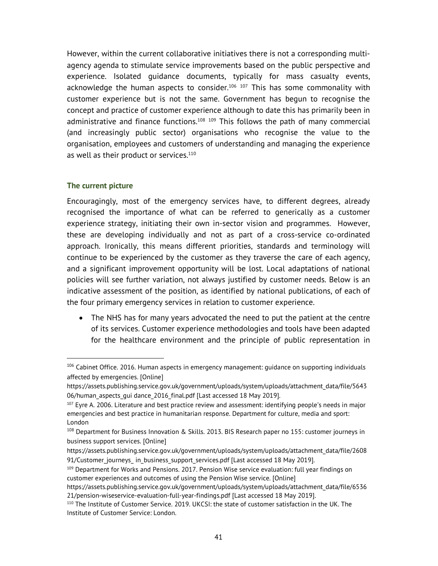However, within the current collaborative initiatives there is not a corresponding multiagency agenda to stimulate service improvements based on the public perspective and experience. Isolated guidance documents, typically for mass casualty events, acknowledge the human aspects to consider.<sup>106 107</sup> This has some commonality with customer experience but is not the same. Government has begun to recognise the concept and practice of customer experience although to date this has primarily been in administrative and finance functions.<sup>108 109</sup> This follows the path of many commercial (and increasingly public sector) organisations who recognise the value to the organisation, employees and customers of understanding and managing the experience as well as their product or services.<sup>110</sup>

#### The current picture

Encouragingly, most of the emergency services have, to different degrees, already recognised the importance of what can be referred to generically as a customer experience strategy, initiating their own in-sector vision and programmes. However, these are developing individually and not as part of a cross-service co-ordinated approach. Ironically, this means different priorities, standards and terminology will continue to be experienced by the customer as they traverse the care of each agency, and a significant improvement opportunity will be lost. Local adaptations of national policies will see further variation, not always justified by customer needs. Below is an indicative assessment of the position, as identified by national publications, of each of the four primary emergency services in relation to customer experience.

 The NHS has for many years advocated the need to put the patient at the centre of its services. Customer experience methodologies and tools have been adapted for the healthcare environment and the principle of public representation in

<sup>&</sup>lt;sup>106</sup> Cabinet Office. 2016. Human aspects in emergency management: guidance on supporting individuals affected by emergencies. [Online]

https://assets.publishing.service.gov.uk/government/uploads/system/uploads/attachment\_data/file/5643 06/human aspects qui dance 2016 final.pdf [Last accessed 18 May 2019].

 $107$  Eyre A. 2006. Literature and best practice review and assessment: identifying people's needs in major emergencies and best practice in humanitarian response. Department for culture, media and sport: London

<sup>108</sup> Department for Business Innovation & Skills. 2013. BIS Research paper no 155: customer journeys in business support services. [Online]

https://assets.publishing.service.gov.uk/government/uploads/system/uploads/attachment\_data/file/2608 91/Customer journeys in business support services.pdf [Last accessed 18 May 2019].

<sup>&</sup>lt;sup>109</sup> Department for Works and Pensions. 2017. Pension Wise service evaluation: full year findings on customer experiences and outcomes of using the Pension Wise service. [Online]

https://assets.publishing.service.gov.uk/government/uploads/system/uploads/attachment\_data/file/6536 21/pension-wiseservice-evaluation-full-year-findings.pdf [Last accessed 18 May 2019].

<sup>110</sup> The Institute of Customer Service. 2019. UKCSI: the state of customer satisfaction in the UK. The Institute of Customer Service: London.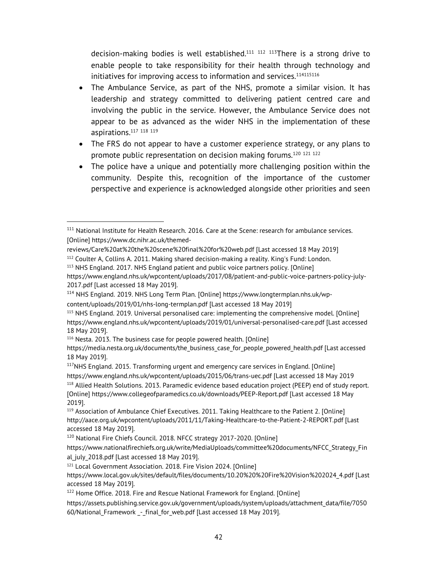decision-making bodies is well established.<sup>111 112 113</sup>There is a strong drive to enable people to take responsibility for their health through technology and initiatives for improving access to information and services.<sup>114115116</sup>

- The Ambulance Service, as part of the NHS, promote a similar vision. It has leadership and strategy committed to delivering patient centred care and involving the public in the service. However, the Ambulance Service does not appear to be as advanced as the wider NHS in the implementation of these aspirations.<sup>117</sup> <sup>118</sup> <sup>119</sup>
- The FRS do not appear to have a customer experience strategy, or any plans to promote public representation on decision making forums.<sup>120</sup> <sup>121</sup> <sup>122</sup>
- The police have a unique and potentially more challenging position within the community. Despite this, recognition of the importance of the customer perspective and experience is acknowledged alongside other priorities and seen

<sup>111</sup> National Institute for Health Research. 2016. Care at the Scene: research for ambulance services. [Online] https://www.dc.nihr.ac.uk/themed-

reviews/Care%20at%20the%20scene%20final%20for%20web.pdf [Last accessed 18 May 2019]

<sup>112</sup> Coulter A, Collins A. 2011. Making shared decision-making a reality. King's Fund: London. <sup>113</sup> NHS England. 2017. NHS England patient and public voice partners policy. [Online] https://www.england.nhs.uk/wpcontent/uploads/2017/08/patient-and-public-voice-partners-policy-july-

<sup>2017.</sup>pdf [Last accessed 18 May 2019].

<sup>&</sup>lt;sup>114</sup> NHS England. 2019. NHS Long Term Plan. [Online] https://www.longtermplan.nhs.uk/wpcontent/uploads/2019/01/nhs-long-termplan.pdf [Last accessed 18 May 2019]

<sup>115</sup> NHS England. 2019. Universal personalised care: implementing the comprehensive model. [Online] https://www.england.nhs.uk/wpcontent/uploads/2019/01/universal-personalised-care.pdf [Last accessed 18 May 2019].

<sup>116</sup> Nesta. 2013. The business case for people powered health. [Online]

https://media.nesta.org.uk/documents/the\_business\_case\_for\_people\_powered\_health.pdf [Last accessed 18 May 2019].

<sup>&</sup>lt;sup>117</sup>NHS England. 2015. Transforming urgent and emergency care services in England. [Online] https://www.england.nhs.uk/wpcontent/uploads/2015/06/trans-uec.pdf [Last accessed 18 May 2019 <sup>118</sup> Allied Health Solutions. 2013. Paramedic evidence based education project (PEEP) end of study report. [Online] https://www.collegeofparamedics.co.uk/downloads/PEEP-Report.pdf [Last accessed 18 May 2019].

<sup>&</sup>lt;sup>119</sup> Association of Ambulance Chief Executives. 2011. Taking Healthcare to the Patient 2. [Online] http://aace.org.uk/wpcontent/uploads/2011/11/Taking-Healthcare-to-the-Patient-2-REPORT.pdf [Last accessed 18 May 2019].

<sup>120</sup> National Fire Chiefs Council. 2018. NFCC strategy 2017-2020. [Online]

https://www.nationalfirechiefs.org.uk/write/MediaUploads/committee%20documents/NFCC\_Strategy\_Fin al\_july\_2018.pdf [Last accessed 18 May 2019].

<sup>121</sup> Local Government Association. 2018. Fire Vision 2024. [Online]

https://www.local.gov.uk/sites/default/files/documents/10.20%20%20Fire%20Vision%202024\_4.pdf [Last accessed 18 May 2019].

<sup>&</sup>lt;sup>122</sup> Home Office. 2018. Fire and Rescue National Framework for England. [Online]

https://assets.publishing.service.gov.uk/government/uploads/system/uploads/attachment\_data/file/7050 60/National Framework - final for web.pdf [Last accessed 18 May 2019].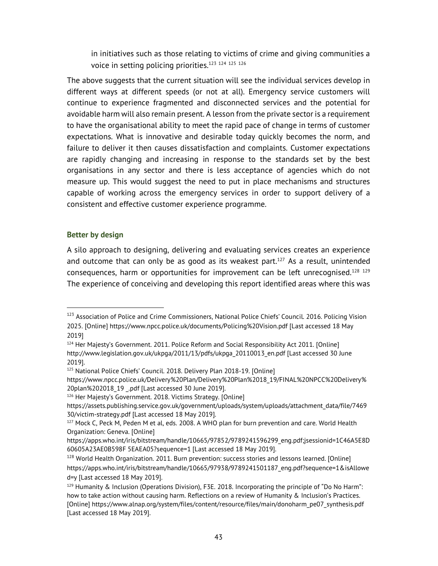in initiatives such as those relating to victims of crime and giving communities a voice in setting policing priorities.<sup>123</sup> 124 125 126

The above suggests that the current situation will see the individual services develop in different ways at different speeds (or not at all). Emergency service customers will continue to experience fragmented and disconnected services and the potential for avoidable harm will also remain present. A lesson from the private sector is a requirement to have the organisational ability to meet the rapid pace of change in terms of customer expectations. What is innovative and desirable today quickly becomes the norm, and failure to deliver it then causes dissatisfaction and complaints. Customer expectations are rapidly changing and increasing in response to the standards set by the best organisations in any sector and there is less acceptance of agencies which do not measure up. This would suggest the need to put in place mechanisms and structures capable of working across the emergency services in order to support delivery of a consistent and effective customer experience programme.

#### Better by design

A silo approach to designing, delivering and evaluating services creates an experience and outcome that can only be as good as its weakest part.<sup>127</sup> As a result, unintended consequences, harm or opportunities for improvement can be left unrecognised.<sup>128</sup> <sup>129</sup> The experience of conceiving and developing this report identified areas where this was

<sup>&</sup>lt;sup>123</sup> Association of Police and Crime Commissioners, National Police Chiefs' Council. 2016. Policing Vision 2025. [Online] https://www.npcc.police.uk/documents/Policing%20Vision.pdf [Last accessed 18 May 2019]

<sup>&</sup>lt;sup>124</sup> Her Majesty's Government. 2011. Police Reform and Social Responsibility Act 2011. [Online] http://www.legislation.gov.uk/ukpga/2011/13/pdfs/ukpga\_20110013\_en.pdf [Last accessed 30 June 2019].

<sup>125</sup> National Police Chiefs' Council. 2018. Delivery Plan 2018-19. [Online]

https://www.npcc.police.uk/Delivery%20Plan/Delivery%20Plan%2018\_19/FINAL%20NPCC%20Delivery% 20plan%202018\_19 \_.pdf [Last accessed 30 June 2019].

<sup>&</sup>lt;sup>126</sup> Her Majesty's Government. 2018. Victims Strategy. [Online]

https://assets.publishing.service.gov.uk/government/uploads/system/uploads/attachment\_data/file/7469 30/victim-strategy.pdf [Last accessed 18 May 2019].

<sup>127</sup> Mock C, Peck M, Peden M et al, eds. 2008. A WHO plan for burn prevention and care. World Health Organization: Geneva. [Online]

https://apps.who.int/iris/bitstream/handle/10665/97852/9789241596299\_eng.pdf;jsessionid=1C46A5E8D 60605A23AE0B598F 5EAEA05?sequence=1 [Last accessed 18 May 2019].

<sup>&</sup>lt;sup>128</sup> World Health Organization. 2011. Burn prevention: success stories and lessons learned. [Online] https://apps.who.int/iris/bitstream/handle/10665/97938/9789241501187\_eng.pdf?sequence=1&isAllowe d=y [Last accessed 18 May 2019].

<sup>&</sup>lt;sup>129</sup> Humanity & Inclusion (Operations Division), F3E. 2018. Incorporating the principle of "Do No Harm": how to take action without causing harm. Reflections on a review of Humanity & Inclusion's Practices. [Online] https://www.alnap.org/system/files/content/resource/files/main/donoharm\_pe07\_synthesis.pdf [Last accessed 18 May 2019].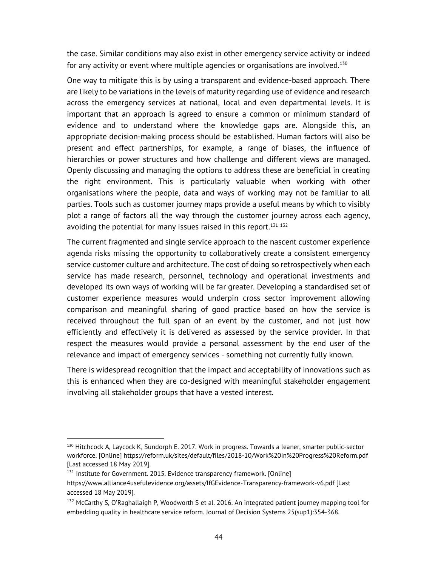the case. Similar conditions may also exist in other emergency service activity or indeed for any activity or event where multiple agencies or organisations are involved.<sup>130</sup>

One way to mitigate this is by using a transparent and evidence-based approach. There are likely to be variations in the levels of maturity regarding use of evidence and research across the emergency services at national, local and even departmental levels. It is important that an approach is agreed to ensure a common or minimum standard of evidence and to understand where the knowledge gaps are. Alongside this, an appropriate decision-making process should be established. Human factors will also be present and effect partnerships, for example, a range of biases, the influence of hierarchies or power structures and how challenge and different views are managed. Openly discussing and managing the options to address these are beneficial in creating the right environment. This is particularly valuable when working with other organisations where the people, data and ways of working may not be familiar to all parties. Tools such as customer journey maps provide a useful means by which to visibly plot a range of factors all the way through the customer journey across each agency, avoiding the potential for many issues raised in this report.<sup>131 132</sup>

The current fragmented and single service approach to the nascent customer experience agenda risks missing the opportunity to collaboratively create a consistent emergency service customer culture and architecture. The cost of doing so retrospectively when each service has made research, personnel, technology and operational investments and developed its own ways of working will be far greater. Developing a standardised set of customer experience measures would underpin cross sector improvement allowing comparison and meaningful sharing of good practice based on how the service is received throughout the full span of an event by the customer, and not just how efficiently and effectively it is delivered as assessed by the service provider. In that respect the measures would provide a personal assessment by the end user of the relevance and impact of emergency services - something not currently fully known.

There is widespread recognition that the impact and acceptability of innovations such as this is enhanced when they are co-designed with meaningful stakeholder engagement involving all stakeholder groups that have a vested interest.

<sup>130</sup> Hitchcock A, Laycock K, Sundorph E. 2017. Work in progress. Towards a leaner, smarter public-sector workforce. [Online] https://reform.uk/sites/default/files/2018-10/Work%20in%20Progress%20Reform.pdf [Last accessed 18 May 2019].

 $131$  Institute for Government. 2015. Evidence transparency framework. [Online]

https://www.alliance4usefulevidence.org/assets/IfGEvidence-Transparency-framework-v6.pdf [Last accessed 18 May 2019].

<sup>&</sup>lt;sup>132</sup> McCarthy S, O'Raghallaigh P, Woodworth S et al. 2016. An integrated patient journey mapping tool for embedding quality in healthcare service reform. Journal of Decision Systems 25(sup1):354-368.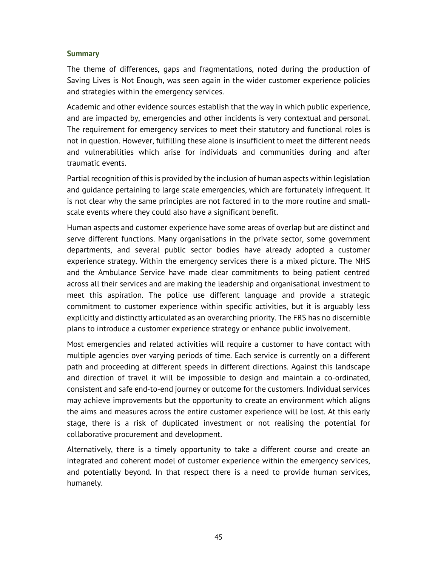#### **Summary**

The theme of differences, gaps and fragmentations, noted during the production of Saving Lives is Not Enough, was seen again in the wider customer experience policies and strategies within the emergency services.

Academic and other evidence sources establish that the way in which public experience, and are impacted by, emergencies and other incidents is very contextual and personal. The requirement for emergency services to meet their statutory and functional roles is not in question. However, fulfilling these alone is insufficient to meet the different needs and vulnerabilities which arise for individuals and communities during and after traumatic events.

Partial recognition of this is provided by the inclusion of human aspects within legislation and guidance pertaining to large scale emergencies, which are fortunately infrequent. It is not clear why the same principles are not factored in to the more routine and smallscale events where they could also have a significant benefit.

Human aspects and customer experience have some areas of overlap but are distinct and serve different functions. Many organisations in the private sector, some government departments, and several public sector bodies have already adopted a customer experience strategy. Within the emergency services there is a mixed picture. The NHS and the Ambulance Service have made clear commitments to being patient centred across all their services and are making the leadership and organisational investment to meet this aspiration. The police use different language and provide a strategic commitment to customer experience within specific activities, but it is arguably less explicitly and distinctly articulated as an overarching priority. The FRS has no discernible plans to introduce a customer experience strategy or enhance public involvement.

Most emergencies and related activities will require a customer to have contact with multiple agencies over varying periods of time. Each service is currently on a different path and proceeding at different speeds in different directions. Against this landscape and direction of travel it will be impossible to design and maintain a co-ordinated, consistent and safe end-to-end journey or outcome for the customers. Individual services may achieve improvements but the opportunity to create an environment which aligns the aims and measures across the entire customer experience will be lost. At this early stage, there is a risk of duplicated investment or not realising the potential for collaborative procurement and development.

Alternatively, there is a timely opportunity to take a different course and create an integrated and coherent model of customer experience within the emergency services, and potentially beyond. In that respect there is a need to provide human services, humanely.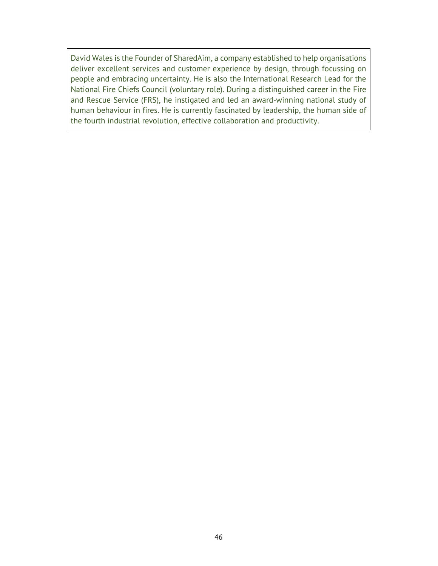David Wales is the Founder of SharedAim, a company established to help organisations deliver excellent services and customer experience by design, through focussing on people and embracing uncertainty. He is also the International Research Lead for the National Fire Chiefs Council (voluntary role). During a distinguished career in the Fire and Rescue Service (FRS), he instigated and led an award-winning national study of human behaviour in fires. He is currently fascinated by leadership, the human side of the fourth industrial revolution, effective collaboration and productivity.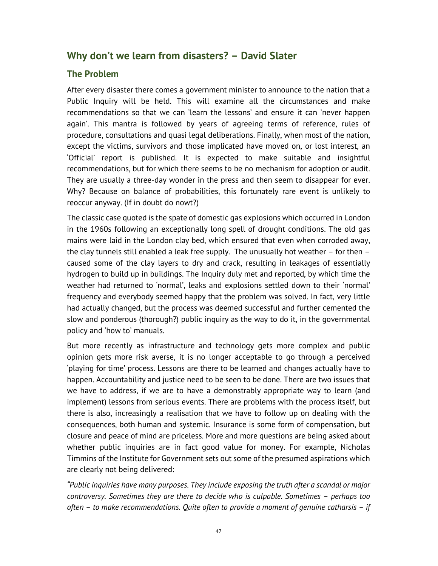# Why don't we learn from disasters? – David Slater

# The Problem

After every disaster there comes a government minister to announce to the nation that a Public Inquiry will be held. This will examine all the circumstances and make recommendations so that we can 'learn the lessons' and ensure it can 'never happen again'. This mantra is followed by years of agreeing terms of reference, rules of procedure, consultations and quasi legal deliberations. Finally, when most of the nation, except the victims, survivors and those implicated have moved on, or lost interest, an 'Official' report is published. It is expected to make suitable and insightful recommendations, but for which there seems to be no mechanism for adoption or audit. They are usually a three-day wonder in the press and then seem to disappear for ever. Why? Because on balance of probabilities, this fortunately rare event is unlikely to reoccur anyway. (If in doubt do nowt?)

The classic case quoted is the spate of domestic gas explosions which occurred in London in the 1960s following an exceptionally long spell of drought conditions. The old gas mains were laid in the London clay bed, which ensured that even when corroded away, the clay tunnels still enabled a leak free supply. The unusually hot weather  $-$  for then  $$ caused some of the clay layers to dry and crack, resulting in leakages of essentially hydrogen to build up in buildings. The Inquiry duly met and reported, by which time the weather had returned to 'normal', leaks and explosions settled down to their 'normal' frequency and everybody seemed happy that the problem was solved. In fact, very little had actually changed, but the process was deemed successful and further cemented the slow and ponderous (thorough?) public inquiry as the way to do it, in the governmental policy and 'how to' manuals.

But more recently as infrastructure and technology gets more complex and public opinion gets more risk averse, it is no longer acceptable to go through a perceived 'playing for time' process. Lessons are there to be learned and changes actually have to happen. Accountability and justice need to be seen to be done. There are two issues that we have to address, if we are to have a demonstrably appropriate way to learn (and implement) lessons from serious events. There are problems with the process itself, but there is also, increasingly a realisation that we have to follow up on dealing with the consequences, both human and systemic. Insurance is some form of compensation, but closure and peace of mind are priceless. More and more questions are being asked about whether public inquiries are in fact good value for money. For example, Nicholas Timmins of the Institute for Government sets out some of the presumed aspirations which are clearly not being delivered:

"Public inquiries have many purposes. They include exposing the truth after a scandal or major controversy. Sometimes they are there to decide who is culpable. Sometimes – perhaps too often – to make recommendations. Quite often to provide a moment of genuine catharsis – if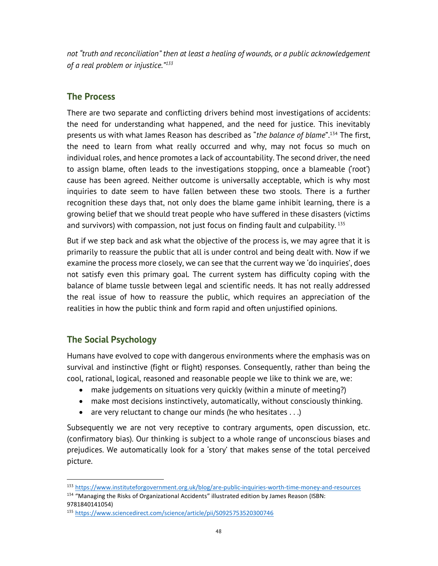not "truth and reconciliation" then at least a healing of wounds, or a public acknowledgement of a real problem or injustice."<sup>133</sup>

## The Process

There are two separate and conflicting drivers behind most investigations of accidents: the need for understanding what happened, and the need for justice. This inevitably presents us with what James Reason has described as "the balance of blame".<sup>134</sup> The first, the need to learn from what really occurred and why, may not focus so much on individual roles, and hence promotes a lack of accountability. The second driver, the need to assign blame, often leads to the investigations stopping, once a blameable ('root') cause has been agreed. Neither outcome is universally acceptable, which is why most inquiries to date seem to have fallen between these two stools. There is a further recognition these days that, not only does the blame game inhibit learning, there is a growing belief that we should treat people who have suffered in these disasters (victims and survivors) with compassion, not just focus on finding fault and culpability.<sup>135</sup>

But if we step back and ask what the objective of the process is, we may agree that it is primarily to reassure the public that all is under control and being dealt with. Now if we examine the process more closely, we can see that the current way we 'do inquiries', does not satisfy even this primary goal. The current system has difficulty coping with the balance of blame tussle between legal and scientific needs. It has not really addressed the real issue of how to reassure the public, which requires an appreciation of the realities in how the public think and form rapid and often unjustified opinions.

## The Social Psychology

Humans have evolved to cope with dangerous environments where the emphasis was on survival and instinctive (fight or flight) responses. Consequently, rather than being the cool, rational, logical, reasoned and reasonable people we like to think we are, we:

- make judgements on situations very quickly (within a minute of meeting?)
- make most decisions instinctively, automatically, without consciously thinking.
- $\bullet$  are very reluctant to change our minds (he who hesitates . . .)

Subsequently we are not very receptive to contrary arguments, open discussion, etc. (confirmatory bias). Our thinking is subject to a whole range of unconscious biases and prejudices. We automatically look for a 'story' that makes sense of the total perceived picture.

<sup>133</sup> https://www.instituteforgovernment.org.uk/blog/are-public-inquiries-worth-time-money-and-resources

<sup>134 &</sup>quot;Managing the Risks of Organizational Accidents" illustrated edition by James Reason (ISBN: 9781840141054)

<sup>135</sup> https://www.sciencedirect.com/science/article/pii/S0925753520300746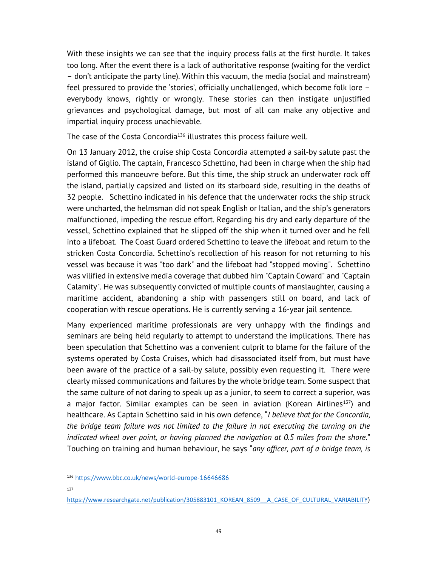With these insights we can see that the inquiry process falls at the first hurdle. It takes too long. After the event there is a lack of authoritative response (waiting for the verdict – don't anticipate the party line). Within this vacuum, the media (social and mainstream) feel pressured to provide the 'stories', officially unchallenged, which become folk lore – everybody knows, rightly or wrongly. These stories can then instigate unjustified grievances and psychological damage, but most of all can make any objective and impartial inquiry process unachievable.

The case of the Costa Concordia<sup>136</sup> illustrates this process failure well.

On 13 January 2012, the cruise ship Costa Concordia attempted a sail-by salute past the island of Giglio. The captain, Francesco Schettino, had been in charge when the ship had performed this manoeuvre before. But this time, the ship struck an underwater rock off the island, partially capsized and listed on its starboard side, resulting in the deaths of 32 people. Schettino indicated in his defence that the underwater rocks the ship struck were uncharted, the helmsman did not speak English or Italian, and the ship's generators malfunctioned, impeding the rescue effort. Regarding his dry and early departure of the vessel, Schettino explained that he slipped off the ship when it turned over and he fell into a lifeboat. The Coast Guard ordered Schettino to leave the lifeboat and return to the stricken Costa Concordia. Schettino's recollection of his reason for not returning to his vessel was because it was "too dark" and the lifeboat had "stopped moving". Schettino was vilified in extensive media coverage that dubbed him "Captain Coward" and "Captain Calamity". He was subsequently convicted of multiple counts of manslaughter, causing a maritime accident, abandoning a ship with passengers still on board, and lack of cooperation with rescue operations. He is currently serving a 16-year jail sentence.

Many experienced maritime professionals are very unhappy with the findings and seminars are being held regularly to attempt to understand the implications. There has been speculation that Schettino was a convenient culprit to blame for the failure of the systems operated by Costa Cruises, which had disassociated itself from, but must have been aware of the practice of a sail-by salute, possibly even requesting it. There were clearly missed communications and failures by the whole bridge team. Some suspect that the same culture of not daring to speak up as a junior, to seem to correct a superior, was a major factor. Similar examples can be seen in aviation (Korean Airlines<sup>137</sup>) and healthcare. As Captain Schettino said in his own defence, "I believe that for the Concordia, the bridge team failure was not limited to the failure in not executing the turning on the indicated wheel over point, or having planned the navigation at 0.5 miles from the shore." Touching on training and human behaviour, he says "any officer, part of a bridge team, is

137

<sup>136</sup> https://www.bbc.co.uk/news/world-europe-16646686

https://www.researchgate.net/publication/305883101\_KOREAN\_8509\_\_A\_CASE\_OF\_CULTURAL\_VARIABILITY)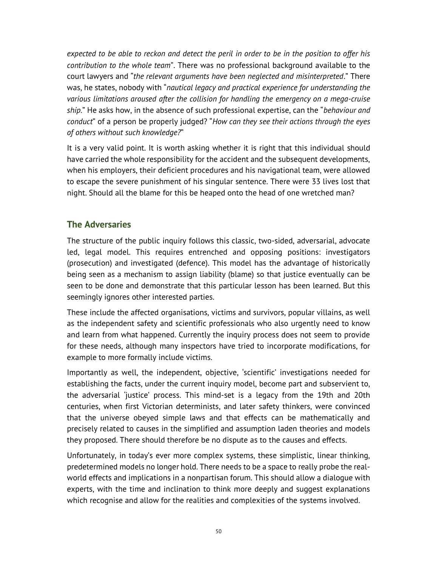expected to be able to reckon and detect the peril in order to be in the position to offer his contribution to the whole team". There was no professional background available to the court lawyers and "the relevant arguments have been neglected and misinterpreted." There was, he states, nobody with "nautical legacy and practical experience for understanding the various limitations aroused after the collision for handling the emergency on a mega-cruise ship." He asks how, in the absence of such professional expertise, can the "behaviour and conduct" of a person be properly judged? "How can they see their actions through the eyes of others without such knowledge?"

It is a very valid point. It is worth asking whether it is right that this individual should have carried the whole responsibility for the accident and the subsequent developments, when his employers, their deficient procedures and his navigational team, were allowed to escape the severe punishment of his singular sentence. There were 33 lives lost that night. Should all the blame for this be heaped onto the head of one wretched man?

# The Adversaries

The structure of the public inquiry follows this classic, two-sided, adversarial, advocate led, legal model. This requires entrenched and opposing positions: investigators (prosecution) and investigated (defence). This model has the advantage of historically being seen as a mechanism to assign liability (blame) so that justice eventually can be seen to be done and demonstrate that this particular lesson has been learned. But this seemingly ignores other interested parties.

These include the affected organisations, victims and survivors, popular villains, as well as the independent safety and scientific professionals who also urgently need to know and learn from what happened. Currently the inquiry process does not seem to provide for these needs, although many inspectors have tried to incorporate modifications, for example to more formally include victims.

Importantly as well, the independent, objective, 'scientific' investigations needed for establishing the facts, under the current inquiry model, become part and subservient to, the adversarial 'justice' process. This mind-set is a legacy from the 19th and 20th centuries, when first Victorian determinists, and later safety thinkers, were convinced that the universe obeyed simple laws and that effects can be mathematically and precisely related to causes in the simplified and assumption laden theories and models they proposed. There should therefore be no dispute as to the causes and effects.

Unfortunately, in today's ever more complex systems, these simplistic, linear thinking, predetermined models no longer hold. There needs to be a space to really probe the realworld effects and implications in a nonpartisan forum. This should allow a dialogue with experts, with the time and inclination to think more deeply and suggest explanations which recognise and allow for the realities and complexities of the systems involved.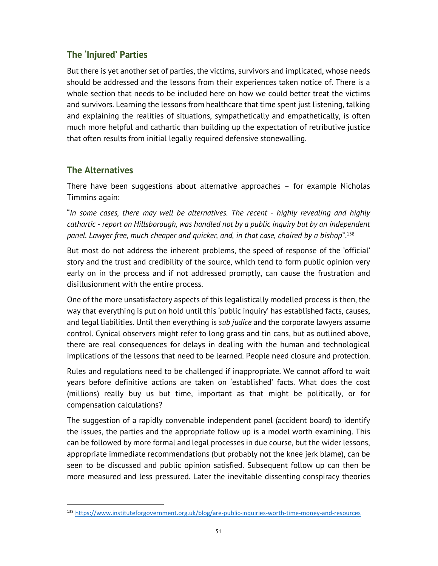# The 'Injured' Parties

But there is yet another set of parties, the victims, survivors and implicated, whose needs should be addressed and the lessons from their experiences taken notice of. There is a whole section that needs to be included here on how we could better treat the victims and survivors. Learning the lessons from healthcare that time spent just listening, talking and explaining the realities of situations, sympathetically and empathetically, is often much more helpful and cathartic than building up the expectation of retributive justice that often results from initial legally required defensive stonewalling.

# The Alternatives

There have been suggestions about alternative approaches – for example Nicholas Timmins again:

"In some cases, there may well be alternatives. The recent - highly revealing and highly cathartic - report on Hillsborough, was handled not by a public inquiry but by an independent panel. Lawyer free, much cheaper and quicker, and, in that case, chaired by a bishop".<sup>138</sup>

But most do not address the inherent problems, the speed of response of the 'official' story and the trust and credibility of the source, which tend to form public opinion very early on in the process and if not addressed promptly, can cause the frustration and disillusionment with the entire process.

One of the more unsatisfactory aspects of this legalistically modelled process is then, the way that everything is put on hold until this 'public inquiry' has established facts, causes, and legal liabilities. Until then everything is sub judice and the corporate lawyers assume control. Cynical observers might refer to long grass and tin cans, but as outlined above, there are real consequences for delays in dealing with the human and technological implications of the lessons that need to be learned. People need closure and protection.

Rules and regulations need to be challenged if inappropriate. We cannot afford to wait years before definitive actions are taken on 'established' facts. What does the cost (millions) really buy us but time, important as that might be politically, or for compensation calculations?

The suggestion of a rapidly convenable independent panel (accident board) to identify the issues, the parties and the appropriate follow up is a model worth examining. This can be followed by more formal and legal processes in due course, but the wider lessons, appropriate immediate recommendations (but probably not the knee jerk blame), can be seen to be discussed and public opinion satisfied. Subsequent follow up can then be more measured and less pressured. Later the inevitable dissenting conspiracy theories

<sup>138</sup> https://www.instituteforgovernment.org.uk/blog/are-public-inquiries-worth-time-money-and-resources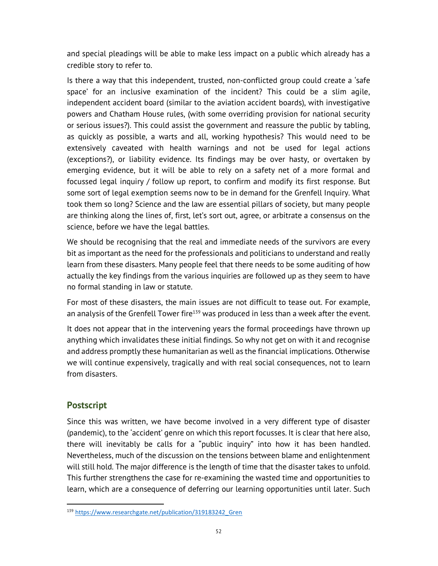and special pleadings will be able to make less impact on a public which already has a credible story to refer to.

Is there a way that this independent, trusted, non-conflicted group could create a 'safe space' for an inclusive examination of the incident? This could be a slim agile, independent accident board (similar to the aviation accident boards), with investigative powers and Chatham House rules, (with some overriding provision for national security or serious issues?). This could assist the government and reassure the public by tabling, as quickly as possible, a warts and all, working hypothesis? This would need to be extensively caveated with health warnings and not be used for legal actions (exceptions?), or liability evidence. Its findings may be over hasty, or overtaken by emerging evidence, but it will be able to rely on a safety net of a more formal and focussed legal inquiry / follow up report, to confirm and modify its first response. But some sort of legal exemption seems now to be in demand for the Grenfell Inquiry. What took them so long? Science and the law are essential pillars of society, but many people are thinking along the lines of, first, let's sort out, agree, or arbitrate a consensus on the science, before we have the legal battles.

We should be recognising that the real and immediate needs of the survivors are every bit as important as the need for the professionals and politicians to understand and really learn from these disasters. Many people feel that there needs to be some auditing of how actually the key findings from the various inquiries are followed up as they seem to have no formal standing in law or statute.

For most of these disasters, the main issues are not difficult to tease out. For example, an analysis of the Grenfell Tower fire<sup>139</sup> was produced in less than a week after the event.

It does not appear that in the intervening years the formal proceedings have thrown up anything which invalidates these initial findings. So why not get on with it and recognise and address promptly these humanitarian as well as the financial implications. Otherwise we will continue expensively, tragically and with real social consequences, not to learn from disasters.

## **Postscript**

Since this was written, we have become involved in a very different type of disaster (pandemic), to the 'accident' genre on which this report focusses. It is clear that here also, there will inevitably be calls for a "public inquiry" into how it has been handled. Nevertheless, much of the discussion on the tensions between blame and enlightenment will still hold. The major difference is the length of time that the disaster takes to unfold. This further strengthens the case for re-examining the wasted time and opportunities to learn, which are a consequence of deferring our learning opportunities until later. Such

<sup>139</sup> https://www.researchgate.net/publication/319183242\_Gren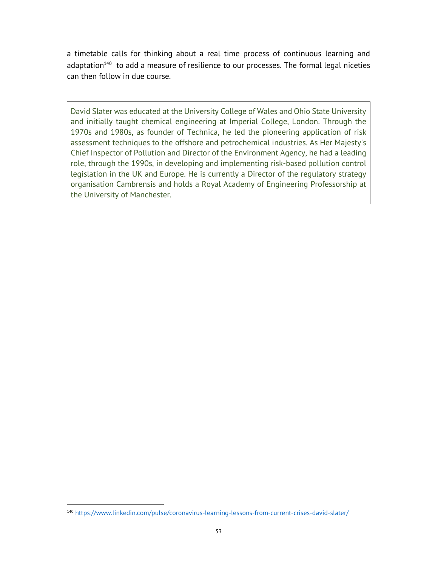a timetable calls for thinking about a real time process of continuous learning and adaptation $140$  to add a measure of resilience to our processes. The formal legal niceties can then follow in due course.

David Slater was educated at the University College of Wales and Ohio State University and initially taught chemical engineering at Imperial College, London. Through the 1970s and 1980s, as founder of Technica, he led the pioneering application of risk assessment techniques to the offshore and petrochemical industries. As Her Majesty's Chief Inspector of Pollution and Director of the Environment Agency, he had a leading role, through the 1990s, in developing and implementing risk-based pollution control legislation in the UK and Europe. He is currently a Director of the regulatory strategy organisation Cambrensis and holds a Royal Academy of Engineering Professorship at the University of Manchester.

<sup>140</sup> https://www.linkedin.com/pulse/coronavirus-learning-lessons-from-current-crises-david-slater/